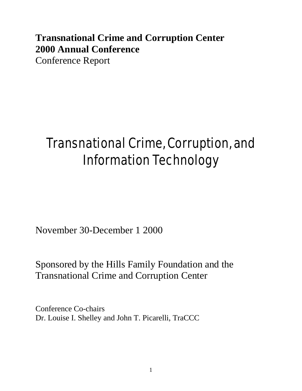# **Transnational Crime and Corruption Center 2000 Annual Conference** Conference Report

# Transnational Crime, Corruption, and Information Technology

November 30-December 1 2000

Sponsored by the Hills Family Foundation and the Transnational Crime and Corruption Center

Conference Co-chairs Dr. Louise I. Shelley and John T. Picarelli, TraCCC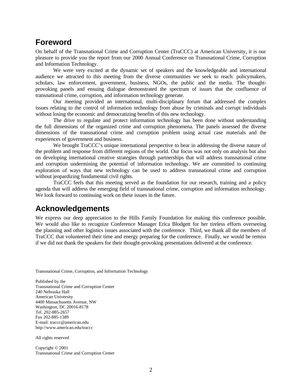### **Foreword**

On behalf of the Transnational Crime and Corruption Center (TraCCC) at American University, it is our pleasure to provide you the report from our 2000 Annual Conference on Transnational Crime, Corruption and Information Technology.

We were very excited at the dynamic set of speakers and the knowledgeable and international audience we attracted to this meeting from the diverse communities we seek to reach: policymakers, scholars, law enforcement, government, business, NGOs, the public and the media. The thoughtprovoking panels and ensuing dialogue demonstrated the spectrum of issues that the confluence of transnational crime, corruption, and information technology generate.

Our meeting provided an international, multi-disciplinary forum that addressed the complex issues relating to the control of information technology from abuse by criminals and corrupt individuals without losing the economic and democratizing benefits of this new technology.

The drive to regulate and protect information technology has been done without understanding the full dimensions of the organized crime and corruption phenomena. The panels assessed the diverse dimensions of the transnational crime and corruption problem using actual case materials and the experiences of government and business.

We brought TraCCC's unique international perspective to bear in addressing the diverse nature of the problem and response from different regions of the world. Our focus was not only on analysis but also on developing international creative strategies through partnerships that will address transnational crime and corruption undermining the potential of information technology. We are committed to continuing exploration of ways that new technology can be used to address transnational crime and corruption without jeopardizing fundamental civil rights.

TraCCC feels that this meeting served as the foundation for our research, training and a policy agenda that will address the emerging field of transnational crime, corruption and information technology. We look forward to continuing work on these issues in the future.

### **Acknowledgements**

We express our deep appreciation to the Hills Family Foundation for making this conference possible. We would also like to recognize Conference Manager Erica Blodgett for her tireless efforts overseeing the planning and other logistics issues associated with the conference. Third, we thank all the members of TraCCC that volunteered their time and energy preparing for the conference. Finally, we would be remiss if we did not thank the speakers for their thought-provoking presentations delivered at the conference.

Transnational Crime, Corruption, and Information Technology

Published by the Transnational Crime and Corruption Center 240 Nebraska Hall American University 4400 Massachusetts Avenue, NW Washington, DC 20016-8178 Tel. 202-885-2657 Fax 202-885-1389 E-mail: traccc@american.edu http://www.american.edu/traccc

All rights reserved

Copyright © 2001 Transnational Crime and Corruption Center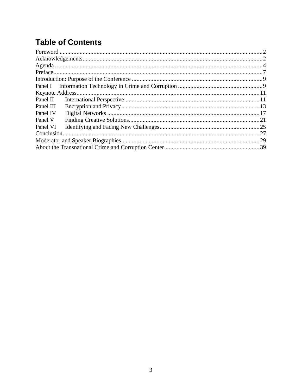# **Table of Contents**

| Panel III |  |  |
|-----------|--|--|
| Panel IV  |  |  |
| Panel V   |  |  |
| Panel VI  |  |  |
|           |  |  |
|           |  |  |
|           |  |  |
|           |  |  |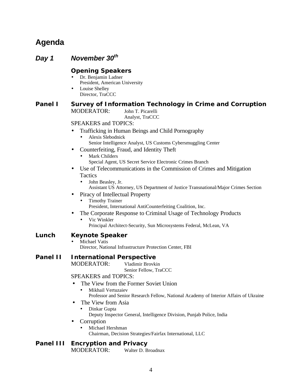# **Agenda**

*Day 1 November 30th* **Opening Speakers** • Dr. Benjamin Ladner President, American University Louise Shelley Director, TraCCC **Panel I Survey of Information Technology in Crime and Corruption** MODERATOR: John T. Picarelli Analyst, TraCCC SPEAKERS and TOPICS: • Trafficking in Human Beings and Child Pornography • Alexis Slebodnick Senior Intelligence Analyst, US Customs Cybersmuggling Center • Counterfeiting, Fraud, and Identity Theft Mark Childers Special Agent, US Secret Service Electronic Crimes Branch • Use of Telecommunications in the Commission of Crimes and Mitigation **Tactics** • John Beasley, Jr. Assistant US Attorney, US Department of Justice Transnational/Major Crimes Section • Piracy of Intellectual Property • Timothy Trainer President, International AntiCounterfeiting Coalition, Inc. • The Corporate Response to Criminal Usage of Technology Products • Vic Winkler Principal Architect-Security, Sun Microsystems Federal, McLean, VA **Lunch Keynote Speaker** Michael Vatis Director, National Infrastructure Protection Center, FBI **Panel II International Perspective** MODERATOR: Vladimir Brovkin Senior Fellow, TraCCC SPEAKERS and TOPICS: • The View from the Former Soviet Union • Mikhail Vertuzaiev Professor and Senior Research Fellow, National Academy of Interior Affairs of Ukraine • The View from Asia • Dinkar Gupta Deputy Inspector General, Intelligence Division, Punjab Police, India • Corruption • Michael Hershman

Chairman, Decision Strategies/Fairfax International, LLC

#### **Panel III Encryption and Privacy**

MODERATOR: Walter D. Broadnax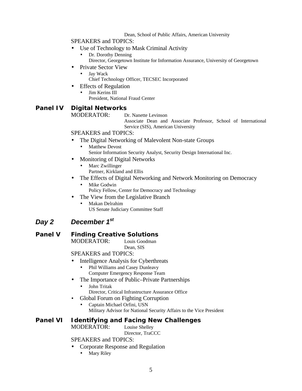#### Dean, School of Public Affairs, American University

SPEAKERS and TOPICS:

- Use of Technology to Mask Criminal Activity
	- Dr. Dorothy Denning Director, Georgetown Institute for Information Assurance, University of Georgetown
- Private Sector View
	- Jay Wack
	- Chief Technology Officer, TECSEC Incorporated
- Effects of Regulation
	- Jim Kerins III President, National Fraud Center

### **Panel IV Digital Networks**

MODERATOR: Dr. Nanette Levinson

Associate Dean and Associate Professor, School of International Service (SIS), American University

SPEAKERS and TOPICS:

- The Digital Networking of Malevolent Non-state Groups
	- **Matthew Devost** Senior Information Security Analyst, Security Design International Inc.
- Monitoring of Digital Networks
	- Marc Zwillinger
	- Partner, Kirkland and Ellis
- The Effects of Digital Networking and Network Monitoring on Democracy
	- Mike Godwin Policy Fellow, Center for Democracy and Technology
- The View from the Legislative Branch
	- Makan Delrahim US Senate Judiciary Committee Staff

### *Day 2 December 1st*

### **Panel V Finding Creative Solutions**

MODERATOR: Louis Goodman Dean, SIS

SPEAKERS and TOPICS:

- Intelligence Analysis for Cyberthreats
	- Phil Williams and Casey Dunleavy Computer Emergency Response Team
- The Importance of Public–Private Partnerships
	- John Tritak
	- Director, Critical Infrastructure Assurance Office
- Global Forum on Fighting Corruption
	- Captain Michael Orfini, USN

Military Advisor for National Security Affairs to the Vice President

#### **Panel VI Identifying and Facing New Challenges** MODERATOR: Louise Shelley

Director, TraCCC

### SPEAKERS and TOPICS:

- Corporate Response and Regulation
	- Mary Riley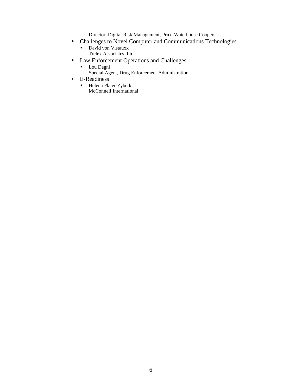Director, Digital Risk Management, Price-Waterhouse Coopers

- Challenges to Novel Computer and Communications Technologies
	- David von Vistauxx Trelex Associates, Ltd.
- Law Enforcement Operations and Challenges
	- Lou Degni
		- Special Agent, Drug Enforcement Administration
- E-Readiness
	- Helena Plater-Zyberk McConnell International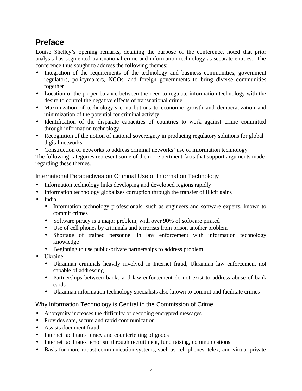# **Preface**

Louise Shelley's opening remarks, detailing the purpose of the conference, noted that prior analysis has segmented transnational crime and information technology as separate entities. The conference thus sought to address the following themes:

- Integration of the requirements of the technology and business communities, government regulators, policymakers, NGOs, and foreign governments to bring diverse communities together
- Location of the proper balance between the need to regulate information technology with the desire to control the negative effects of transnational crime
- Maximization of technology's contributions to economic growth and democratization and minimization of the potential for criminal activity
- Identification of the disparate capacities of countries to work against crime committed through information technology
- Recognition of the notion of national sovereignty in producing regulatory solutions for global digital networks
- Construction of networks to address criminal networks' use of information technology

The following categories represent some of the more pertinent facts that support arguments made regarding these themes.

International Perspectives on Criminal Use of Information Technology

- Information technology links developing and developed regions rapidly
- Information technology globalizes corruption through the transfer of illicit gains
- India
	- Information technology professionals, such as engineers and software experts, known to commit crimes
	- Software piracy is a major problem, with over 90% of software pirated
	- Use of cell phones by criminals and terrorists from prison another problem
	- Shortage of trained personnel in law enforcement with information technology knowledge
	- Beginning to use public-private partnerships to address problem
- Ukraine
	- Ukrainian criminals heavily involved in Internet fraud, Ukrainian law enforcement not capable of addressing
	- Partnerships between banks and law enforcement do not exist to address abuse of bank cards
	- Ukrainian information technology specialists also known to commit and facilitate crimes

### Why Information Technology is Central to the Commission of Crime

- Anonymity increases the difficulty of decoding encrypted messages
- Provides safe, secure and rapid communication
- Assists document fraud
- Internet facilitates piracy and counterfeiting of goods
- Internet facilitates terrorism through recruitment, fund raising, communications
- Basis for more robust communication systems, such as cell phones, telex, and virtual private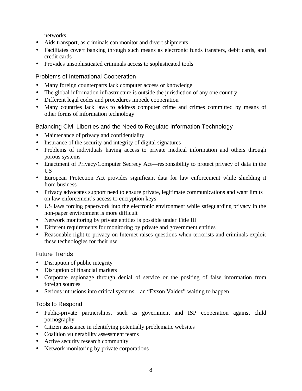networks

- Aids transport, as criminals can monitor and divert shipments
- Facilitates covert banking through such means as electronic funds transfers, debit cards, and credit cards
- Provides unsophisticated criminals access to sophisticated tools

### Problems of International Cooperation

- Many foreign counterparts lack computer access or knowledge
- The global information infrastructure is outside the jurisdiction of any one country
- Different legal codes and procedures impede cooperation
- Many countries lack laws to address computer crime and crimes committed by means of other forms of information technology

### Balancing Civil Liberties and the Need to Regulate Information Technology

- Maintenance of privacy and confidentiality
- Insurance of the security and integrity of digital signatures
- Problems of individuals having access to private medical information and others through porous systems
- Enactment of Privacy/Computer Secrecy Act—responsibility to protect privacy of data in the US
- European Protection Act provides significant data for law enforcement while shielding it from business
- Privacy advocates support need to ensure private, legitimate communications and want limits on law enforcement's access to encryption keys
- US laws forcing paperwork into the electronic environment while safeguarding privacy in the non-paper environment is more difficult
- Network monitoring by private entities is possible under Title III
- Different requirements for monitoring by private and government entities
- Reasonable right to privacy on Internet raises questions when terrorists and criminals exploit these technologies for their use

### Future Trends

- Disruption of public integrity
- Disruption of financial markets
- Corporate espionage through denial of service or the positing of false information from foreign sources
- Serious intrusions into critical systems—an "Exxon Valdez" waiting to happen

### Tools to Respond

- Public-private partnerships, such as government and ISP cooperation against child pornography
- Citizen assistance in identifying potentially problematic websites
- Coalition vulnerability assessment teams
- Active security research community
- Network monitoring by private corporations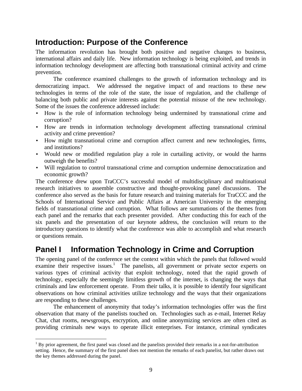# **Introduction: Purpose of the Conference**

The information revolution has brought both positive and negative changes to business, international affairs and daily life. New information technology is being exploited, and trends in information technology development are affecting both transnational criminal activity and crime prevention.

The conference examined challenges to the growth of information technology and its democratizing impact. We addressed the negative impact of and reactions to these new technologies in terms of the role of the state, the issue of regulation, and the challenge of balancing both public and private interests against the potential misuse of the new technology. Some of the issues the conference addressed include:

- How is the role of information technology being undermined by transnational crime and corruption?
- How are trends in information technology development affecting transnational criminal activity and crime prevention?
- How might transnational crime and corruption affect current and new technologies, firms, and institutions?
- Would new or modified regulation play a role in curtailing activity, or would the harms outweigh the benefits?
- Will regulation to control transnational crime and corruption undermine democratization and economic growth?

The conference drew upon TraCCC's successful model of multidisciplinary and multinational research initiatives to assemble constructive and thought-provoking panel discussions. The conference also served as the basis for future research and training materials for TraCCC and the Schools of International Service and Public Affairs at American University in the emerging fields of transnational crime and corruption. What follows are summations of the themes from each panel and the remarks that each presenter provided. After conducting this for each of the six panels and the presentation of our keynote address, the conclusion will return to the introductory questions to identify what the conference was able to accomplish and what research or questions remain.

# **Panel I Information Technology in Crime and Corruption**

The opening panel of the conference set the context within which the panels that followed would examine their respective issues.<sup>1</sup> The panelists, all government or private sector experts on various types of criminal activity that exploit technology, noted that the rapid growth of technology, especially the seemingly limitless growth of the internet, is changing the ways that criminals and law enforcement operate. From their talks, it is possible to identify four significant observations on how criminal activities utilize technology and the ways that their organizations are responding to these challenges.

The enhancement of anonymity that today's information technologies offer was the first observation that many of the panelists touched on. Technologies such as e-mail, Internet Relay Chat, chat rooms, newsgroups, encryption, and online anonymizing services are often cited as providing criminals new ways to operate illicit enterprises. For instance, criminal syndicates

<sup>&</sup>lt;u>.</u>  $<sup>1</sup>$  By prior agreement, the first panel was closed and the panelists provided their remarks in a not-for-attribution</sup> setting. Hence, the summary of the first panel does not mention the remarks of each panelist, but rather draws out the key themes addressed during the panel.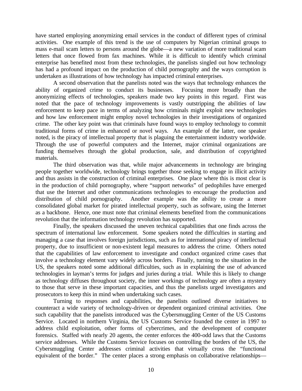have started employing anonymizing email services in the conduct of different types of criminal activities. One example of this trend is the use of computers by Nigerian criminal groups to mass e-mail scam letters to persons around the globe—a new variation of more traditional scam letters that once flowed from fax machines. While it is difficult to identify which criminal enterprise has benefited most from these technologies, the panelists singled out how technology has had a profound impact on the production of child pornography and the ways corruption is undertaken as illustrations of how technology has impacted criminal enterprises.

A second observation that the panelists noted was the ways that technology enhances the ability of organized crime to conduct its businesses. Focusing more broadly than the anonymizing effects of technologies, speakers made two key points in this regard. First was noted that the pace of technology improvements is vastly outstripping the abilities of law enforcement to keep pace in terms of analyzing how criminals might exploit new technologies and how law enforcement might employ novel technologies in their investigations of organized crime. The other key point was that criminals have found ways to employ technology to commit traditional forms of crime in enhanced or novel ways. An example of the latter, one speaker noted, is the piracy of intellectual property that is plaguing the entertainment industry worldwide. Through the use of powerful computers and the Internet, major criminal organizations are funding themselves through the global production, sale, and distribution of copyrighted materials.

The third observation was that, while major advancements in technology are bringing people together worldwide, technology brings together those seeking to engage in illicit activity and thus assists in the construction of criminal enterprises. One place where this is most clear is in the production of child pornography, where "support networks" of pedophiles have emerged that use the Internet and other communications technologies to encourage the production and distribution of child pornography. Another example was the ability to create a more consolidated global market for pirated intellectual property, such as software, using the Internet as a backbone. Hence, one must note that criminal elements benefited from the communications revolution that the information technology revolution has supported.

Finally, the speakers discussed the uneven technical capabilities that one finds across the spectrum of international law enforcement. Some speakers noted the difficulties in starting and managing a case that involves foreign jurisdictions, such as for international piracy of intellectual property, due to insufficient or non-existent legal measures to address the crime. Others noted that the capabilities of law enforcement to investigate and conduct organized crime cases that involve a technology element vary widely across borders. Finally, turning to the situation in the US, the speakers noted some additional difficulties, such as in explaining the use of advanced technologies in layman's terms for judges and juries during a trial. While this is likely to change as technology diffuses throughout society, the inner workings of technology are often a mystery to those that serve in these important capacities, and thus the panelists urged investigators and prosecutors to keep this in mind when undertaking such cases.

Turning to responses and capabilities, the panelists outlined diverse initiatives to counteract a wide variety of technology-driven or dependent organized criminal activities. One such capability that the panelists introduced was the Cybersmuggling Center of the US Customs Service. Located in northern Virginia, the US Customs Service founded the center in 1997 to address child exploitation, other forms of cybercrimes, and the development of computer forensics. Staffed with nearly 20 agents, the center enforces the 400-odd laws that the Customs service addresses. While the Customs Service focuses on controlling the borders of the US, the Cybersmuggling Center addresses criminal activities that virtually cross the "functional equivalent of the border." The center places a strong emphasis on collaborative relationships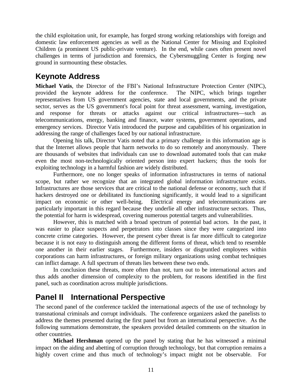the child exploitation unit, for example, has forged strong working relationships with foreign and domestic law enforcement agencies as well as the National Center for Missing and Exploited Children (a prominent US public-private venture). In the end, while cases often present novel challenges in terms of jurisdiction and forensics, the Cybersmuggling Center is forging new ground in surmounting these obstacles.

# **Keynote Address**

**Michael Vatis**, the Director of the FBI's National Infrastructure Protection Center (NIPC), provided the keynote address for the conference. The NIPC, which brings together representatives from US government agencies, state and local governments, and the private sector, serves as the US government's focal point for threat assessment, warning, investigation, and response for threats or attacks against our critical infrastructures—such as telecommunications, energy, banking and finance, water systems, government operations, and emergency services. Director Vatis introduced the purpose and capabilities of his organization in addressing the range of challenges faced by our national infrastructure.

Opening his talk, Director Vatis noted that a primary challenge in this information age is that the Internet allows people that harm networks to do so remotely and anonymously. There are thousands of websites that individuals can use to download automated tools that can make even the most non-technologically oriented person into expert hackers; thus the tools for exploiting technology in a harmful fashion are widely distributed.

Furthermore, one no longer speaks of information infrastructures in terms of national scope, but rather we recognize that an integrated global information infrastructure exists. Infrastructures are those services that are critical to the national defense or economy, such that if hackers destroyed one or debilitated its functioning significantly, it would lead to a significant impact on economic or other well-being. Electrical energy and telecommunications are particularly important in this regard because they underlie all other infrastructure sectors. Thus, the potential for harm is widespread, covering numerous potential targets and vulnerabilities.

However, this is matched with a broad spectrum of potential bad actors. In the past, it was easier to place suspects and perpetrators into classes since they were categorized into concrete crime categories. However, the present cyber threat is far more difficult to categorize because it is not easy to distinguish among the different forms of threat, which tend to resemble one another in their earlier stages. Furthermore, insiders or disgruntled employees within corporations can harm infrastructures, or foreign military organizations using combat techniques can inflict damage. A full spectrum of threats lies between these two ends.

In conclusion these threats, more often than not, turn out to be international actors and thus adds another dimension of complexity to the problem, for reasons identified in the first panel, such as coordination across multiple jurisdictions.

# **Panel II International Perspective**

The second panel of the conference tackled the international aspects of the use of technology by transnational criminals and corrupt individuals. The conference organizers asked the panelists to address the themes presented during the first panel but from an international perspective. As the following summations demonstrate, the speakers provided detailed comments on the situation in other countries.

**Michael Hershman** opened up the panel by stating that he has witnessed a minimal impact on the aiding and abetting of corruption through technology, but that corruption remains a highly covert crime and thus much of technology's impact might not be observable. For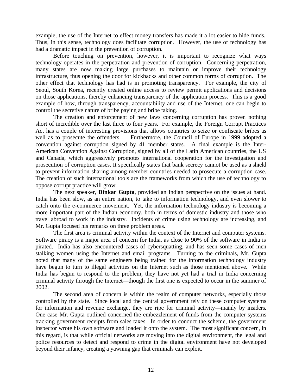example, the use of the Internet to effect money transfers has made it a lot easier to hide funds. Thus, in this sense, technology does facilitate corruption. However, the use of technology has had a dramatic impact in the prevention of corruption.

Before touching on prevention, however, it is important to recognize what ways technology operates in the perpetration and prevention of corruption. Concerning perpetration, many states are now making large purchases to maintain or improve their technology infrastructure, thus opening the door for kickbacks and other common forms of corruption. The other effect that technology has had is in promoting transparency. For example, the city of Seoul, South Korea, recently created online access to review permit applications and decisions on those applications, thereby enhancing transparency of the application process. This is a good example of how, through transparency, accountability and use of the Internet, one can begin to control the secretive nature of bribe paying and bribe taking.

The creation and enforcement of new laws concerning corruption has proven nothing short of incredible over the last three to four years. For example, the Foreign Corrupt Practices Act has a couple of interesting provisions that allows countries to seize or confiscate bribes as well as to prosecute the offenders. Furthermore, the Council of Europe in 1999 adopted a convention against corruption signed by 41 member states. A final example is the Inter-American Convention Against Corruption, signed by all of the Latin American countries, the US and Canada, which aggressively promotes international cooperation for the investigation and prosecution of corruption cases. It specifically states that bank secrecy cannot be used as a shield to prevent information sharing among member countries needed to prosecute a corruption case. The creation of such international tools are the frameworks from which the use of technology to oppose corrupt practice will grow.

The next speaker, **Dinkar Gupta**, provided an Indian perspective on the issues at hand. India has been slow, as an entire nation, to take to information technology, and even slower to catch onto the e-commerce movement. Yet, the information technology industry is becoming a more important part of the Indian economy, both in terms of domestic industry and those who travel abroad to work in the industry. Incidents of crime using technology are increasing, and Mr. Gupta focused his remarks on three problem areas.

The first area is criminal activity within the context of the Internet and computer systems. Software piracy is a major area of concern for India, as close to 90% of the software in India is pirated. India has also encountered cases of cybersquatting, and has seen some cases of men stalking women using the Internet and email programs. Turning to the criminals, Mr. Gupta noted that many of the same engineers being trained for the information technology industry have begun to turn to illegal activities on the Internet such as those mentioned above. While India has begun to respond to the problem, they have not yet had a trial in India concerning criminal activity through the Internet—though the first one is expected to occur in the summer of 2002.

The second area of concern is within the realm of computer networks, especially those controlled by the state. Since local and the central government rely on these computer systems for information and revenue exchange, they are ripe for criminal activity—mainly by insiders. One case Mr. Gupta outlined concerned the embezzlement of funds from the computer systems tracking government receipts from sales taxes. In order to conduct the scheme, the government inspector wrote his own software and loaded it onto the system. The most significant concern, in this regard, is that while official networks are moving into the digital environment, the legal and police resources to detect and respond to crime in the digital environment have not developed beyond their infancy, creating a yawning gap that criminals can exploit.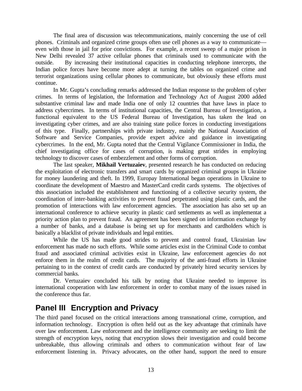The final area of discussion was telecommunications, mainly concerning the use of cell phones. Criminals and organized crime groups often use cell phones as a way to communicate even with those in jail for prior convictions. For example, a recent sweep of a major prison in New Delhi revealed 37 active cellular phones that criminals used to communicate with the outside. By increasing their institutional capacities in conducting telephone intercepts, the Indian police forces have become more adept at turning the tables on organized crime and terrorist organizations using cellular phones to communicate, but obviously these efforts must continue.

In Mr. Gupta's concluding remarks addressed the Indian response to the problem of cyber crimes. In terms of legislation, the Information and Technology Act of August 2000 added substantive criminal law and made India one of only 12 countries that have laws in place to address cybercrimes. In terms of institutional capacities, the Central Bureau of Investigation, a functional equivalent to the US Federal Bureau of Investigation, has taken the lead on investigating cyber crimes, and are also training state police forces in conducting investigations of this type. Finally, partnerships with private industry, mainly the National Association of Software and Service Companies, provide expert advice and guidance in investigating cybercrimes. In the end, Mr. Gupta noted that the Central Vigilance Commissioner in India, the chief investigating office for cases of corruption, is making great strides in employing technology to discover cases of embezzlement and other forms of corruption.

The last speaker, **Mikhail Vertuzaiev**, presented research he has conducted on reducing the exploitation of electronic transfers and smart cards by organized criminal groups in Ukraine for money laundering and theft. In 1999, Europay International began operations in Ukraine to coordinate the development of Maestro and MasterCard credit cards systems. The objectives of this association included the establishment and functioning of a collective security system, the coordination of inter-banking activities to prevent fraud perpetrated using plastic cards, and the promotion of interactions with law enforcement agencies. The association has also set up an international conference to achieve security in plastic card settlements as well as implementat a priority action plan to prevent fraud. An agreement has been signed on information exchange by a number of banks, and a database is being set up for merchants and cardholders which is basically a blacklist of private individuals and legal entities.

While the US has made good strides to prevent and control fraud, Ukrainian law enforcement has made no such efforts. While some articles exist in the Criminal Code to combat fraud and associated criminal activities exist in Ukraine, law enforcement agencies do not enforce them in the realm of credit cards. The majority of the anti-fraud efforts in Ukraine pertaining to in the context of credit cards are conducted by privately hired security services by commercial banks.

Dr. Vertuzaiev concluded his talk by noting that Ukraine needed to improve its international cooperation with law enforcement in order to combat many of the issues raised in the conference thus far.

# **Panel III Encryption and Privacy**

The third panel focused on the critical interactions among transnational crime, corruption, and information technology. Encryption is often held out as the key advantage that criminals have over law enforcement. Law enforcement and the intelligence community are seeking to limit the strength of encryption keys, noting that encryption slows their investigation and could become unbreakable, thus allowing criminals and others to communication without fear of law enforcement listening in. Privacy advocates, on the other hand, support the need to ensure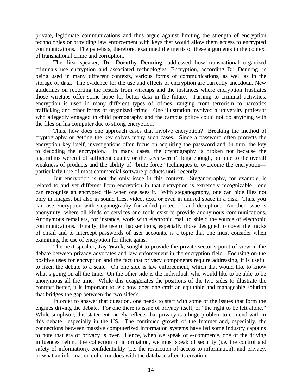private, legitimate communications and thus argue against limiting the strength of encryption technologies or providing law enforcement with keys that would allow them access to encrypted communications. The panelists, therefore, examined the merits of these arguments in the context of transnational crime and corruption.

The first speaker, **Dr. Dorothy Denning**, addressed how transnational organized criminals use encryption and associated technologies. Encryption, according Dr. Denning, is being used in many different contexts, various forms of communications, as well as in the storage of data. The evidence for the use and effects of encryption are currently anecdotal. New guidelines on reporting the results from wiretaps and the instances where encryption frustrates those wiretaps offer some hope for better data in the future. Turning to criminal activities, encryption is used in many different types of crimes, ranging from terrorism to narcotics trafficking and other forms of organized crime. One illustration involved a university professor who allegedly engaged in child pornography and the campus police could not do anything with the files on his computer due to strong encryption.

Thus, how does one approach cases that involve encryption? Breaking the method of cryptography or getting the key solves many such cases. Since a password often protects the encryption key itself, investigations often focus on acquiring the password and, in turn, the key to decoding the encryption. In many cases, the cryptography is broken not because the algorithms weren't of sufficient quality or the keys weren't long enough, but due to the overall weakness of products and the ability of "brute force" techniques to overcome the encryption particularly true of most commercial software products until recently.

But encryption is not the only issue in this context. Steganography, for example, is related to and yet different from encryption in that encryption is extremely recognizable—one can recognize an encrypted file when one sees it. With steganography, one can hide files not only in images, but also in sound files, video, text, or even in unused space in a disk. Thus, you can use encryption with steganography for added protection and deception. Another issue is anonymity, where all kinds of services and tools exist to provide anonymous communications. Anonymous remailers, for instance, work with electronic mail to shield the source of electronic communications. Finally, the use of hacker tools, especially those designed to cover the tracks of email and to intercept passwords of user accounts, is a topic that one must consider when examining the use of encryption for illicit gains.

The next speaker, **Jay Wack**, sought to provide the private sector's point of view in the debate between privacy advocates and law enforcement in the encryption field. Focusing on the positive uses for encryption and the fact that privacy components require addressing, it is useful to liken the debate to a scale. On one side is law enforcement, which that would like to know what's going on all the time. On the other side is the individual, who would like to be able to be anonymous all the time. While this exaggerates the positions of the two sides to illustrate the contrast better, it is important to ask how does one craft an equitable and manageable solution that bridges the gap between the two sides?

In order to answer that question, one needs to start with some of the issues that form the engines driving the debate. For one there is issue of privacy itself, or "the right to be left alone." While simplistic, this statement merely reflects that privacy is a huge problem to contend with in this debate—especially in the US. The continued growth of the Internet and, especially, the connections between massive computerized information systems have led some industry captains to note that era of privacy is over. Hence, when we speak of e-commerce, one of the driving influences behind the collection of information, we must speak of security (i.e. the control and safety of information), confidentiality (i.e. the restriction of access to information), and privacy, or what an information collector does with the database after its creation.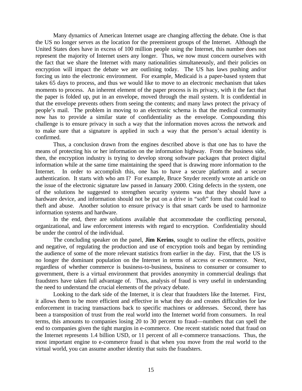Many dynamics of American Internet usage are changing affecting the debate. One is that the US no longer serves as the location for the preeminent groups of the Internet. Although the United States does have in excess of 100 million people using the Internet, this number does not represent the majority of Internet users any longer. Thus, we now must concern ourselves with the fact that we share the Internet with many nationalities simultaneously, and their policies on encryption will impact the debate we are outlining today. The US has laws pushing and/or forcing us into the electronic environment. For example, Medicaid is a paper-based system that takes 65 days to process, and thus we would like to move to an electronic mechanism that takes moments to process. An inherent element of the paper process is its privacy, with it the fact that the paper is folded up, put in an envelope, moved through the mail system. It is confidential in that the envelope prevents others from seeing the contents; and many laws protect the privacy of people's mail. The problem in moving to an electronic schema is that the medical community now has to provide a similar state of confidentiality as the envelope. Compounding this challenge is to ensure privacy in such a way that the information moves across the network and to make sure that a signature is applied in such a way that the person's actual identity is confirmed.

Thus, a conclusion drawn from the engines described above is that one has to have the means of protecting his or her information on the information highway. From the business side, then, the encryption industry is trying to develop strong software packages that protect digital information while at the same time maintaining the speed that is drawing more information to the Internet. In order to accomplish this, one has to have a secure platform and a secure authentication. It starts with who am I? For example, Bruce Snyder recently wrote an article on the issue of the electronic signature law passed in January 2000. Citing defects in the system, one of the solutions he suggested to strengthen security systems was that they should have a hardware device, and information should not be put on a drive in "soft" form that could lead to theft and abuse. Another solution to ensure privacy is that smart cards be used to harmonize information systems and hardware.

In the end, there are solutions available that accommodate the conflicting personal, organizational, and law enforcement interests with regard to encryption. Confidentiality should be under the control of the individual.

The concluding speaker on the panel, **Jim Kerins**, sought to outline the effects, positive and negative, of regulating the production and use of encryption tools and began by reminding the audience of some of the more relevant statistics from earlier in the day. First, that the US is no longer the dominant population on the Internet in terms of access or e-commerce. Next, regardless of whether commerce is business-to-business, business to consumer or consumer to government, there is a virtual environment that provides anonymity in commercial dealings that fraudsters have taken full advantage of. Thus, analysis of fraud is very useful in understanding the need to understand the crucial elements of the privacy debate.

Looking to the dark side of the Internet, it is clear that fraudsters like the Internet. First, it allows them to be more efficient and effective in what they do and creates difficulties for law enforcement in tracing transactions back to specific machines or addresses. Second, there has been a transposition of trust from the real world into the Internet world from consumers. In real terms, this amounts to companies losing 20 to 30 percent to fraud—numbers that can spell the end to companies given the tight margins in e-commerce. One recent statistic noted that fraud on the Internet represents 1.4 billion USD, or 11 percent of all e-commerce transactions. Thus, the most important engine to e-commerce fraud is that when you move from the real world to the virtual world, you can assume another identity that suits the fraudsters.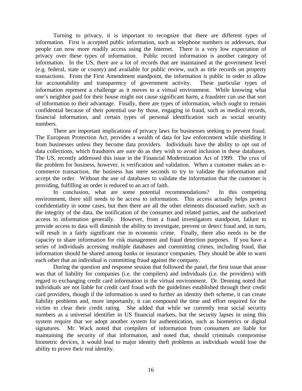Turning to privacy, it is important to recognize that there are different types of information. First is accepted public information, such as telephone numbers or addresses, that people can now more readily access using the Internet. There is a very low expectation of privacy over these types of information. Public record information is another category of information. In the US, there are a lot of records that are maintained at the government level (e.g. federal, state or county) and available for public review, such as title records on property transactions. From the First Amendment standpoint, the information is public in order to allow for accountability and transparency of government activity. These particular types of information represent a challenge as it moves to a virtual environment. While knowing what one's neighbor paid for their house might not cause significant harm, a fraudster can use that sort of information to their advantage. Finally, there are types of information, which ought to remain confidential because of their potential use by those, engaging in fraud, such as medical records, financial information, and certain types of personal identification such as social security numbers.

There are important implications of privacy laws for businesses seeking to prevent fraud. The European Protection Act, provides a wealth of data for law enforcement while shielding it from businesses unless they become data providers. Individuals have the ability to opt out of data collections, which fraudsters are sure do as they wish to avoid inclusion in these databases. The US, recently addressed this issue in the Financial Modernization Act of 1999. The crux of the problem for business, however, is verification and validation. When a customer makes an ecommerce transaction, the business has mere seconds to try to validate the information and accept the order. Without the use of databases to validate the information that the customer is providing, fulfilling an order is reduced to an act of faith.

In conclusion, what are some potential recommendations? In this competing environment, there still needs to be access to information. This access actually helps protect confidentiality in some cases, but then there are all the other elements discussed earlier, such as the integrity of the data, the notification of the consumer and related parties, and the authorized access to information generally. However, from a fraud investigators standpoint, failure to provide access to data will diminish the ability to investigate, prevent or detect fraud and, in turn, will result in a fairly significant rise in economic crime. Finally, there also needs to be the capacity to share information for risk management and fraud detection purposes. If you have a series of individuals accessing multiple databases and committing crimes, including fraud, that information should be shared among banks or insurance companies. They should be able to warn each other that an individual is committing fraud against the company.

During the question and response session that followed the panel, the first issue that arose was that of liability for companies (i.e. the compilers) and individuals (i.e. the providers) with regard to exchanging credit card information in the virtual environment. Dr. Denning noted that individuals are not liable for credit card fraud with the guidelines established through their credit card providers, though if the information is used to further an identity theft scheme, it can create liability problems and, more importantly, it can compound the time and effort required for the victim to clear their credit rating. She added that while we currently treat social security numbers as a universal identifier in US financial markets, but the security lapses in using this system require that we adopt another system for authentication, such as biometrics or digital signatures. Mr. Wack noted that compilers of information from consumers are liable for maintaining the security of that information, and noted that, should criminals compromise biometric devices, it would lead to major identity theft problems as individuals would lose the ability to prove their real identity.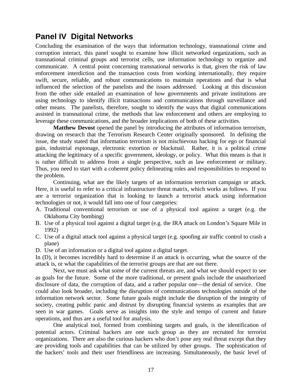# **Panel IV Digital Networks**

Concluding the examination of the ways that information technology, transnational crime and corruption interact, this panel sought to examine how illicit networked organizations, such as transnational criminal groups and terrorist cells, use information technology to organize and communicate. A central point concerning transnational networks is that, given the risk of law enforcement interdiction and the transaction costs from working internationally, they require swift, secure, reliable, and robust communications to maintain operations and that is what influenced the selection of the panelists and the issues addressed. Looking at this discussion from the other side entailed an examination of how governments and private institutions are using technology to identify illicit transactions and communications through surveillance and other means. The panelists, therefore, sought to identify the ways that digital communications assisted in transnational crime, the methods that law enforcement and others are employing to leverage these communications, and the broader implications of both of these activities.

**Matthew Devost** opened the panel by introducing the attributes of information terrorism, drawing on research that the Terrorism Research Center originally sponsored. In defining the issue, the study stated that information terrorism is not mischievous hacking for ego or financial gain, industrial espionage, electronic extortion or blackmail. Rather, it is a political crime attacking the legitimacy of a specific government, ideology, or policy. What this means is that it is rather difficult to address from a single perspective, such as law enforcement or military. Thus, you need to start with a coherent policy delineating roles and responsibilities to respond to the problem.

Continuing, what are the likely targets of an information terrorism campaign or attack. Here, it is useful to refer to a critical infrastructure threat matrix, which works as follows. If you are a terrorist organization that is looking to launch a terrorist attack using information technologies or not, it would fall into one of four categories:

- A. Traditional conventional terrorism or use of a physical tool against a target (e.g. the Oklahoma City bombing)
- B. Use of a physical tool against a digital target (e.g. the IRA attack on London's Square Mile in 1992)
- C. Use of a digital attack tool against a physical target (e.g. spoofing air traffic control to crash a plane)
- D. Use of an information or a digital tool against a digital target.

In (D), it becomes incredibly hard to determine if an attack is occurring, what the source of the attack is, or what the capabilities of the terrorist groups are that are out there.

Next, we must ask what some of the current threats are, and what we should expect to see as goals for the future. Some of the more traditional, or present goals include the unauthorized disclosure of data, the corruption of data, and a rather popular one—the denial of service. One could also look broader, including the disruption of communications technologies outside of the information network sector. Some future goals might include the disruption of the integrity of society, creating public panic and distrust by disrupting financial systems as examples that are seen in war games. Goals serve as insights into the style and tempo of current and future operations, and thus are a useful tool for analysis.

One analytical tool, formed from combining targets and goals, is the identification of potential actors. Criminal hackers are one such group as they are recruited for terrorist organizations. There are also the curious hackers who don't pose any real threat except that they are providing tools and capabilities that can be utilized by other groups. The sophistication of the hackers' tools and their user friendliness are increasing. Simultaneously, the basic level of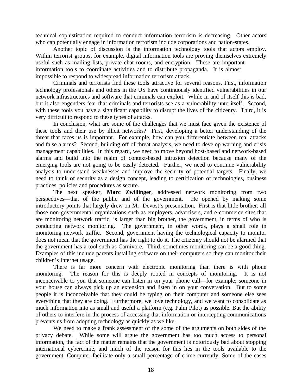technical sophistication required to conduct information terrorism is decreasing. Other actors who can potentially engage in information terrorism include corporations and nation-states.

Another topic of discussion is the information technology tools that actors employ. Within terrorist groups, for example, digital information tools are proving themselves extremely useful such as mailing lists, private chat rooms, and encryption. These are important information tools to coordinate activities and to distribute propaganda. It is almost impossible to respond to widespread information terrorism attack.

Criminals and terrorists find these tools attractive for several reasons. First, information technology professionals and others in the US have continuously identified vulnerabilities in our network infrastructures and software that criminals can exploit. While in and of itself this is bad, but it also engenders fear that criminals and terrorists see as a vulnerability unto itself. Second, with these tools you have a significant capability to disrupt the lives of the citizenry. Third, it is very difficult to respond to these types of attacks.

In conclusion, what are some of the challenges that we must face given the existence of these tools and their use by illicit networks? First, developing a better understanding of the threat that faces us is important. For example, how can you differentiate between real attacks and false alarms? Second, building off of threat analysis, we need to develop warning and crisis management capabilities. In this regard, we need to move beyond host-based and network-based alarms and build into the realm of context-based intrusion detection because many of the emerging tools are not going to be easily detected. Further, we need to continue vulnerability analysis to understand weaknesses and improve the security of potential targets. Finally, we need to think of security as a design concept, leading to certification of technologies, business practices, policies and procedures as secure.

The next speaker, **Marc Zwillinger**, addressed network monitoring from two perspectives—that of the public and of the government. He opened by making some introductory points that largely drew on Mr. Devost's presentation. First is that little brother, all those non-governmental organizations such as employers, advertisers, and e-commerce sites that are monitoring network traffic, is larger than big brother, the government, in terms of who is conducting network monitoring. The government, in other words, plays a small role in monitoring network traffic. Second, government having the technological capacity to monitor does not mean that the government has the right to do it. The citizenry should not be alarmed that the government has a tool such as Carnivore. Third, sometimes monitoring can be a good thing. Examples of this include parents installing software on their computers so they can monitor their children's Internet usage.

There is far more concern with electronic monitoring than there is with phone monitoring. The reason for this is deeply rooted in concepts of monitoring. It is not inconceivable to you that someone can listen in on your phone call—for example; someone in your house can always pick up an extension and listen in on your conversation. But to some people it is inconceivable that they could be typing on their computer and someone else sees everything that they are doing. Furthermore, we love technology, and we want to consolidate as much information into as small and useful a platform (e.g. Palm Pilot) as possible. But the ability of others to interfere in the process of accessing that information or intercepting communications prevents us from adopting technology as quickly as we like.

We need to make a frank assessment of the some of the arguments on both sides of the privacy debate. While some will argue the government has too much access to personal information, the fact of the matter remains that the government is notoriously bad about stopping international cybercrime, and much of the reason for this lies in the tools available to the government. Computer facilitate only a small percentage of crime currently. Some of the cases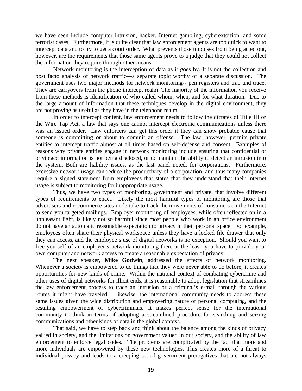we have seen include computer intrusion, hacker, Internet gambling, cyberextortion, and some terrorist cases. Furthermore, it is quite clear that law enforcement agents are too quick to want to intercept data and to try to get a court order. What prevents those impulses from being acted out, however, are the requirements that those same agents prove to a judge that they could not collect the information they require through other means.

Network monitoring is the interception of data as it goes by. It is not the collection and post facto analysis of network traffic—a separate topic worthy of a separate discussion. The government uses two major methods for network monitoring-- pen registers and trap and trace. They are carryovers from the phone intercept realm. The majority of the information you receive from these methods is identification of who called whom, when, and for what duration. Due to the large amount of information that these techniques develop in the digital environment, they are not proving as useful as they have in the telephone realm.

In order to intercept content, law enforcement needs to follow the dictates of Title III or the Wire Tap Act, a law that says one cannot intercept electronic communications unless there was an issued order. Law enforcers can get this order if they can show probable cause that someone is committing or about to commit an offense. The law, however, permits private entities to intercept traffic almost at all times based on self-defense and consent. Examples of reasons why private entities engage in network monitoring include ensuring that confidential or privileged information is not being disclosed, or to maintain the ability to detect an intrusion into the system. Both are liability issues, as the last panel noted, for corporations. Furthermore, excessive network usage can reduce the productivity of a corporation, and thus many companies require a signed statement from employees that states that they understand that their Internet usage is subject to monitoring for inappropriate usage.

Thus, we have two types of monitoring, government and private, that involve different types of requirements to enact. Likely the most harmful types of monitoring are those that advertisers and e-commerce sites undertake to track the movements of consumers on the Internet to send you targeted mailings. Employer monitoring of employees, while often reflected on in a unpleasant light, is likely not so harmful since most people who work in an office environment do not have an automatic reasonable expectation to privacy in their personal space. For example, employees often share their physical workspace unless they have a locked file drawer that only they can access, and the employee's use of digital networks is no exception. Should you want to free yourself of an employer's network monitoring then, at the least, you have to provide your own computer and network access to create a reasonable expectation of privacy.

The next speaker, **Mike Godwin**, addressed the effects of network monitoring. Whenever a society is empowered to do things that they were never able to do before, it creates opportunities for new kinds of crime. Within the national context of combating cybercrime and other uses of digital networks for illicit ends, it is reasonable to adopt legislation that streamlines the law enforcement process to trace an intrusion or a criminal's e-mail through the various routes it might have traveled. Likewise, the international community needs to address these same issues given the wide distribution and empowering nature of personal computing, and the resulting empowerment of cybercriminals. It makes perfect sense for the international community to think in terms of adopting a streamlined procedure for searching and seizing communications and other kinds of data in the global context.

That said, we have to step back and think about the balance among the kinds of privacy valued in society, and the limitations on government valued in our society, and the ability of law enforcement to enforce legal codes. The problems are complicated by the fact that more and more individuals are empowered by these new technologies. This creates more of a threat to individual privacy and leads to a creeping set of government prerogatives that are not always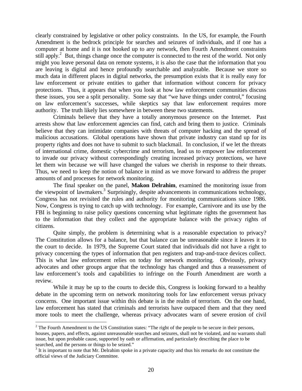clearly constrained by legislative or other policy constraints. In the US, for example, the Fourth Amendment is the bedrock principle for searches and seizures of individuals, and if one has a computer at home and it is not hooked up to any network, then Fourth Amendment constraints still apply.<sup>2</sup> But, things change once the computer is connected to the rest of the world. Not only might you leave personal data on remote systems, it is also the case that the information that you are leaving is digital and hence profoundly searchable and analyzable. Because we store so much data in different places in digital networks, the presumption exists that it is really easy for law enforcement or private entities to gather that information without concern for privacy protections. Thus, it appears that when you look at how law enforcement communities discuss these issues, you see a split personality. Some say that "we have things under control," focusing on law enforcement's successes, while skeptics say that law enforcement requires more authority. The truth likely lies somewhere in between these two statements.

Criminals believe that they have a totally anonymous presence on the Internet. Past arrests show that law enforcement agencies can find, catch and bring them to justice. Criminals believe that they can intimidate companies with threats of computer hacking and the spread of malicious accusations. Global operations have shown that private industry can stand up for its property rights and does not have to submit to such blackmail. In conclusion, if we let the threats of international crime, domestic cybercrime and terrorism, lead us to empower law enforcement to invade our privacy without correspondingly creating increased privacy protections, we have let them win because we will have changed the values we cherish in response to their threats. Thus, we need to keep the notion of balance in mind as we move forward to address the proper amounts of and processes for network monitoring.

The final speaker on the panel, **Makon Delrahim**, examined the monitoring issue from the viewpoint of lawmakers.<sup>3</sup> Surprisingly, despite advancements in communications technology, Congress has not revisited the rules and authority for monitoring communications since 1986. Now, Congress is trying to catch up with technology. For example, Carnivore and its use by the FBI is beginning to raise policy questions concerning what legitimate rights the government has to the information that they collect and the appropriate balance with the privacy rights of citizens.

Quite simply, the problem is determining what is a reasonable expectation to privacy? The Constitution allows for a balance, but that balance can be unreasonable since it leaves it to the court to decide. In 1979, the Supreme Court stated that individuals did not have a right to privacy concerning the types of information that pen registers and trap-and-trace devices collect. This is what law enforcement relies on today for network monitoring. Obviously, privacy advocates and other groups argue that the technology has changed and thus a reassessment of law enforcement's tools and capabilities to infringe on the Fourth Amendment are worth a review.

While it may be up to the courts to decide this, Congress is looking forward to a healthy debate in the upcoming term on network monitoring tools for law enforcement versus privacy concerns. One important issue within this debate is in the realm of terrorism. On the one hand, law enforcement has stated that criminals and terrorists have outpaced them and that they need more tools to meet the challenge, whereas privacy advocates warn of severe erosion of civil

 $\overline{a}$ 

 $2^2$  The Fourth Amendment to the US Constitution states: "The right of the people to be secure in their persons, houses, papers, and effects, against unreasonable searches and seizures, shall not be violated, and no warrants shall issue, but upon probable cause, supported by oath or affirmation, and particularly describing the place to be searched, and the persons or things to be seized."

 $3$  It is important to note that Mr. Delrahim spoke in a private capacity and thus his remarks do not constitute the official views of the Judiciary Committee.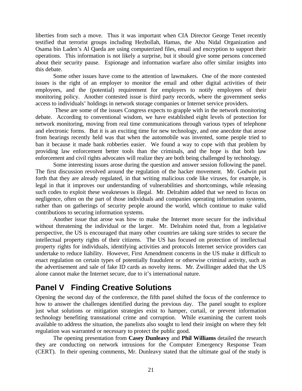liberties from such a move. Thus it was important when CIA Director George Tenet recently testified that terrorist groups including Hezbollah, Hamas, the Abu Nidal Organization and Osama bin Laden's Al Qaeda are using computerized files, email and encryption to support their operations. This information is not likely a surprise, but it should give some persons concerned about their security pause. Espionage and information warfare also offer similar insights into this debate.

Some other issues have come to the attention of lawmakers. One of the more contested issues is the right of an employer to monitor the email and other digital activities of their employees, and the (potential) requirement for employers to notify employees of their monitoring policy. Another contested issue is third party records, where the government seeks access to individuals' holdings in network storage companies or Internet service providers.

 These are some of the issues Congress expects to grapple with in the network monitoring debate. According to conventional wisdom, we have established eight levels of protection for network monitoring, moving from real time communications through various types of telephone and electronic forms. But it is an exciting time for new technology, and one anecdote that arose from hearings recently held was that when the automobile was invented, some people tried to ban it because it made bank robberies easier. We found a way to cope with that problem by providing law enforcement better tools than the criminals, and the hope is that both law enforcement and civil rights advocates will realize they are both being challenged by technology.

Some interesting issues arose during the question and answer session following the panel. The first discussion revolved around the regulation of the hacker movement. Mr. Godwin put forth that they are already regulated, in that writing malicious code like viruses, for example, is legal in that it improves our understanding of vulnerabilities and shortcomings, while releasing such codes to exploit these weaknesses is illegal. Mr. Delrahim added that we need to focus on negligence, often on the part of those individuals and companies operating information systems, rather than on gatherings of security people around the world, which continue to make valid contributions to securing information systems.

Another issue that arose was how to make the Internet more secure for the individual without threatening the individual or the larger. Mr. Delrahim noted that, from a legislative perspective, the US is encouraged that many other countries are taking sure strides to secure the intellectual property rights of their citizens. The US has focused on protection of intellectual property rights for individuals, identifying activities and protocols Internet service providers can undertake to reduce liability. However, First Amendment concerns in the US make it difficult to enact regulation on certain types of potentially fraudulent or otherwise criminal activity, such as the advertisement and sale of fake ID cards as novelty items. Mr. Zwillinger added that the US alone cannot make the Internet secure, due to it's international nature.

# **Panel V Finding Creative Solutions**

Opening the second day of the conference, the fifth panel shifted the focus of the conference to how to answer the challenges identified during the previous day. The panel sought to explore just what solutions or mitigation strategies exist to hamper, curtail, or prevent information technology benefiting transnational crime and corruption. While examining the current tools available to address the situation, the panelists also sought to lend their insight on where they felt regulation was warranted or necessary to protect the public good.

The opening presentation from **Casey Dunleavy** and **Phil Williams** detailed the research they are conducting on network intrusions for the Computer Emergency Response Team (CERT). In their opening comments, Mr. Dunleavy stated that the ultimate goal of the study is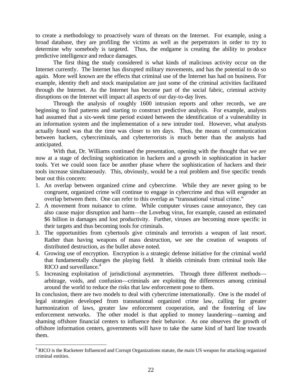to create a methodology to proactively warn of threats on the Internet. For example, using a broad database, they are profiling the victims as well as the perpetrators in order to try to determine why somebody is targeted. Thus, the endgame is creating the ability to produce predictive intelligence and reduce damages.

The first thing the study considered is what kinds of malicious activity occur on the Internet currently. The Internet has disrupted military movements, and has the potential to do so again. More well known are the effects that criminal use of the Internet has had on business. For example, identity theft and stock manipulation are just some of the criminal activities facilitated through the Internet. As the Internet has become part of the social fabric, criminal activity disruptions on the Internet will impact all aspects of our day-to-day lives.

Through the analysis of roughly 1600 intrusion reports and other records, we are beginning to find patterns and starting to construct predictive analysis. For example, analysts had assumed that a six-week time period existed between the identification of a vulnerability in an information system and the implementation of a new intruder tool. However, what analysts actually found was that the time was closer to ten days. Thus, the means of communication between hackers, cybercriminals, and cyberterrorists is much better than the analysts had anticipated.

With that, Dr. Williams continued the presentation, opening with the thought that we are now at a stage of declining sophistication in hackers and a growth in sophistication in hacker tools. Yet we could soon face be another phase where the sophistication of hackers and their tools increase simultaneously. This, obviously, would be a real problem and five specific trends bear out this concern:

- 1. An overlap between organized crime and cybercrime. While they are never going to be congruent, organized crime will continue to engage in cybercrime and thus will engender an overlap between them. One can refer to this overlap as "transnational virtual crime."
- 2. A movement from nuisance to crime. While computer viruses cause annoyance, they can also cause major disruption and harm—the Lovebug virus, for example, caused an estimated \$6 billion in damages and lost productivity. Further, viruses are becoming more specific in their targets and thus becoming tools for criminals.
- 3. The opportunities from cybertools give criminals and terrorists a weapon of last resort. Rather than having weapons of mass destruction, we see the creation of weapons of distributed destruction, as the bullet above noted.
- 4. Growing use of encryption. Encryption is a strategic defense initiative for the criminal world that fundamentally changes the playing field. It shields criminals from criminal tools like RICO and surveillance.<sup>4</sup>
- 5. Increasing exploitation of jurisdictional asymmetries. Through three different methods arbitrage, voids, and confusion—criminals are exploiting the differences among criminal around the world to reduce the risks that law enforcement pose to them.

In conclusion, there are two models to deal with cybercrime internationally. One is the model of legal strategies developed from transnational organized crime law, calling for greater harmonization of laws, greater law enforcement cooperation, and the fostering of law enforcement networks. The other model is that applied to money laundering—naming and shaming offshore financial centers to influence their behavior. As one observes the growth of offshore information centers, governments will have to take the same kind of hard line towards them.

 $\overline{a}$ <sup>4</sup> RICO is the Racketeer Influenced and Corrupt Organizations statute, the main US weapon for attacking organized criminal entities.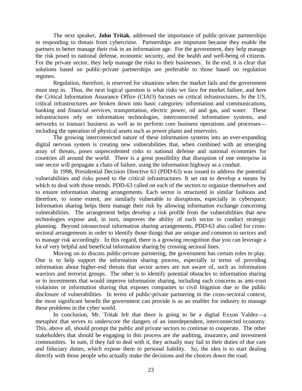The next speaker, **John Tritak**, addressed the importance of public-private partnerships in responding to threats from cybercrime. Partnerships are important because they enable the partners to better manage their risk in an information age. For the government, they help manage the risk posed to national defense, economic security, and the health and well-being of citizens. For the private sector, they help manage the risks to their businesses. In the end, it is clear that solutions based on public-private partnerships are preferable to those based on regulation regimes.

Regulation, therefore, is reserved for situations when the market fails and the government must step in. Thus, the next logical question is what risks we face for market failure, and here the Critical Information Assurance Office (CIAO) focuses on critical infrastructures. In the US, critical infrastructures are broken down into basic categories: information and communications, banking and financial services, transportation, electric power, oil and gas, and water. These infrastructures rely on information technologies, interconnected information systems, and networks to transact business as well as to perform core business operations and processes including the operation of physical assets such as power plants and reservoirs.

The growing interconnected nature of these information systems into an ever-expanding digital nervous system is creating new vulnerabilities that, when combined with an emerging array of threats, poses unprecedented risks to national defense and national economies for countries all around the world. There is a great possibility that disruption of one enterprise in one sector will propagate a chain of failure, using the information highway as a conduit.

In 1998, Presidential Decision Directive 63 (PDD-63) was issued to address the potential vulnerabilities and risks posed to the critical infrastructures. It set out to develop a means by which to deal with those trends. PDD-63 called on each of the sectors to organize themselves and to ensure information sharing arrangements. Each sector is structured in similar fashions and therefore, to some extent, are similarly vulnerable to disruptions, especially in cyberspace. Information sharing helps them manage their risk by allowing information exchange concerning vulnerabilities. The arrangement helps develop a risk profile from the vulnerabilities that new technologies expose and, in turn, improves the ability of each sector to conduct strategic planning. Beyond intrasectoral information sharing arrangements, PDD-63 also called for crosssectoral arrangements in order to identify those things that are unique and common to sectors and to manage risk accordingly. In this regard, there is a growing recognition that you can leverage a lot of very helpful and beneficial information sharing by crossing sectoral lines.

Moving on to discuss public-private partnering, the government has certain roles to play. One is to help support the information sharing process, especially in terms of providing information about higher-end threats that sector actors are not aware of, such as information warriors and terrorist groups. The other is to identify potential obstacles to information sharing or to investments that would improve information sharing, including such concerns as anti-trust violations or information sharing that exposes companies to civil litigation due to the public disclosure of vulnerabilities. In terms of public-private partnering in the cross-sectoral context, the most significant benefit the government can provide is as an enabler for industry to manage these problems in the cyber world.

In conclusion, Mr. Tritak felt that there is going to be a digital Exxon Valdez—a metaphor that serves to underscore the dangers of an interdependent, interconnected economy. This, above all, should prompt the public and private sectors to continue to cooperate. The other stakeholders that should be engaging in this process are the auditing, insurance, and investment communities. In sum, if they fail to deal with it, they actually may fail in their duties of due care and fiduciary duties, which expose them to personal liability. So, the idea is to start dealing directly with those people who actually make the decisions and the choices down the road.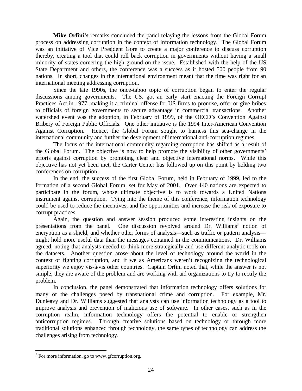Mike Orfini's remarks concluded the panel relaying the lessons from the Global Forum process on addressing corruption in the context of information technology.<sup>5</sup> The Global Forum was an initiative of Vice President Gore to create a major conference to discuss corruption thereby, creating a tool that could roll back corruption in governments without having a small minority of states cornering the high ground on the issue. Established with the help of the US State Department and others, the conference was a success as it hosted 500 people from 90 nations. In short, changes in the international environment meant that the time was right for an international meeting addressing corruption.

Since the late 1990s, the once-taboo topic of corruption began to enter the regular discussions among governments. The US, got an early start enacting the Foreign Corrupt Practices Act in 1977, making it a criminal offense for US firms to promise, offer or give bribes to officials of foreign governments to secure advantage in commercial transactions. Another watershed event was the adoption, in February of 1999, of the OECD's Convention Against Bribery of Foreign Public Officials. One other initiative is the 1994 Inter-American Convention Against Corruption. Hence, the Global Forum sought to harness this sea-change in the international community and further the development of international anti-corruption regimes.

The focus of the international community regarding corruption has shifted as a result of the Global Forum. The objective is now to help promote the visibility of other governments' efforts against corruption by promoting clear and objective international norms. While this objective has not yet been met, the Carter Center has followed up on this point by holding two conferences on corruption.

In the end, the success of the first Global Forum, held in February of 1999, led to the formation of a second Global Forum, set for May of 2001. Over 140 nations are expected to participate in the forum, whose ultimate objective is to work towards a United Nations instrument against corruption. Tying into the theme of this conference, information technology could be used to reduce the incentives, and the opportunities and increase the risk of exposure to corrupt practices.

Again, the question and answer session produced some interesting insights on the presentations from the panel. One discussion revolved around Dr. Williams' notion of encryption as a shield, and whether other forms of analysis—such as traffic or pattern analysis might hold more useful data than the messages contained in the communications. Dr. Williams agreed, noting that analysts needed to think more strategically and use different analytic tools on the datasets. Another question arose about the level of technology around the world in the context of fighting corruption, and if we as Americans weren't recognizing the technological superiority we enjoy vis-à-vis other countries. Captain Orfini noted that, while the answer is not simple, they are aware of the problem and are working with aid organizations to try to rectify the problem.

In conclusion, the panel demonstrated that information technology offers solutions for many of the challenges posed by transnational crime and corruption. For example, Mr. Dunleavy and Dr. Williams suggested that analysts can use information technology as a tool to improve analysis and prevention of malicious use of software. In other cases, such as in the corruption realm, information technology offers the potential to enable or strengthen anticorruption regimes. Through creative solutions based on technology or through more traditional solutions enhanced through technology, the same types of technology can address the challenges arising from technology.

<sup>&</sup>lt;sup>5</sup> For more information, go to www.gfcorruption.org.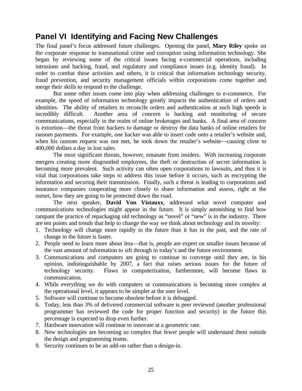# **Panel VI Identifying and Facing New Challenges**

The final panel's focus addressed future challenges. Opening the panel, **Mary Riley** spoke on the corporate response to transnational crime and corruption using information technology. She began by reviewing some of the critical issues facing e-commercial operations, including intrusions and hacking, fraud, and regulatory and compliance issues (e.g. identity fraud). In order to combat these activities and others, it is critical that information technology security, fraud prevention, and security management officials within corporations come together and merge their skills to respond to the challenge.

But some other issues come into play when addressing challenges to e-commerce. For example, the speed of information technology greatly impacts the authentication of orders and identities. The ability of retailers to reconcile orders and authentication at such high speeds is incredibly difficult. Another area of concern is hacking and monitoring of secure communications, especially in the realm of online brokerages and banks. A final area of concern is extortion—the threat from hackers to damage or destroy the data banks of online retailers for ransom payments. For example, one hacker was able to insert code onto a retailer's website and, when his ransom request was not met, he took down the retailer's website—causing close to 400,000 dollars a day in lost sales.

The most significant threats, however, emanate from insiders. With increasing corporate mergers creating more disgruntled employees, the theft or destruction of secret information is becoming more prevalent. Such activity can often open corporations to lawsuits, and thus it is vital that corporations take steps to address this issue before it occurs, such as encrypting the information and securing their transmission. Finally, such a threat is leading to corporations and insurance companies cooperating more closely to share information and assess, right at the outset, how they are going to be protected down the road.

The next speaker, **David Von Vistauxx**, addressed what novel computer and communications technologies might appear in the future. It is simply astonishing to find how rampant the practice of repackaging old technology as "novel" or "new" is in the industry. There are ten points and trends that help to change the way we think about technology and its novelty:

- 1. Technology will change more rapidly in the future than it has in the past, and the rate of change in the future is faster.
- 2. People need to learn more about less—that is, people are expert on smaller issues because of the vast amount of information to sift through in today's and the future environment.
- 3. Communications and computers are going to continue to converge until they are, in his opinion, indistinguishable by 2007, a fact that raises serious issues for the future of technology security. Flaws in computerization, furthermore, will become flaws in communication.
- 4. While everything we do with computers or communications is becoming more complex at the operational level, it appears to be simpler at the user level.
- 5. Software will continue to become obsolete before it is debugged.
- 6. Today, less than 3% of delivered commercial software is peer reviewed (another professional programmer has reviewed the code for proper function and security) in the future this percentage is expected to drop even further.
- 7. Hardware innovation will continue to innovate at a geometric rate.
- 8. New technologies are becoming so complex that fewer people will understand them outside the design and programming teams.
- 9. Security continues to be an add-on rather than a design-in.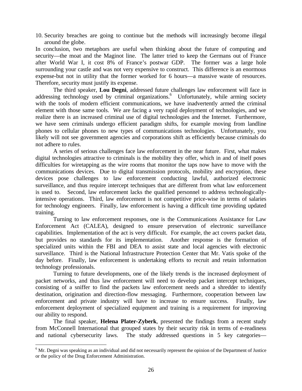10. Security breaches are going to continue but the methods will increasingly become illegal around the globe.

In conclusion, two metaphors are useful when thinking about the future of computing and security—the moat and the Maginot line. The latter tried to keep the Germans out of France after World War I, it cost 8% of France's postwar GDP. The former was a large hole surrounding your castle and was not very expensive to construct. This difference is an enormous expense-but not in utility that the former worked for 6 hours—a massive waste of resources. Therefore, security must justify its expense.

The third speaker, **Lou Degni**, addressed future challenges law enforcement will face in addressing technology used by criminal organizations.<sup>6</sup> Unfortunately, while arming society with the tools of modern efficient communications, we have inadvertently armed the criminal element with those same tools. We are facing a very rapid deployment of technologies, and we realize there is an increased criminal use of digital technologies and the Internet. Furthermore, we have seen criminals undergo efficient paradigm shifts, for example moving from landline phones to cellular phones to new types of communications technologies. Unfortunately, you likely will not see government agencies and corporations shift as efficiently because criminals do not adhere to rules.

A series of serious challenges face law enforcement in the near future. First, what makes digital technologies attractive to criminals is the mobility they offer, which in and of itself poses difficulties for wiretapping as the wire rooms that monitor the taps now have to move with the communications devices. Due to digital transmission protocols, mobility and encryption, these devices pose challenges to law enforcement conducting lawful, authorized electronic surveillance, and thus require intercept techniques that are different from what law enforcement is used to. Second, law enforcement lacks the qualified personnel to address technologicallyintensive operations. Third, law enforcement is not competitive price-wise in terms of salaries for technology engineers. Finally, law enforcement is having a difficult time providing updated training.

Turning to law enforcement responses, one is the Communications Assistance for Law Enforcement Act (CALEA), designed to ensure preservation of electronic surveillance capabilities. Implementation of the act is very difficult. For example, the act covers packet data, but provides no standards for its implementation. Another response is the formation of specialized units within the FBI and DEA to assist state and local agencies with electronic surveillance. Third is the National Infrastructure Protection Center that Mr. Vatis spoke of the day before. Finally, law enforcement is undertaking efforts to recruit and retain information technology professionals.

Turning to future developments, one of the likely trends is the increased deployment of packet networks, and thus law enforcement will need to develop packet intercept techniques, consisting of a sniffer to find the packets law enforcement needs and a shredder to identify destination, origination and direction-flow messaging. Furthermore, cooperation between law enforcement and private industry will have to increase to ensure success. Finally, law enforcement deployment of specialized equipment and training is a requirement for improving our ability to respond.

The final speaker, **Helena Plater-Zyberk**, presented the findings from a recent study from McConnell International that grouped states by their security risk in terms of e-readiness and national cybersecurity laws. The study addressed questions in 5 key categories—

-

<sup>&</sup>lt;sup>6</sup> Mr. Degni was speaking as an individual and did not necessarily represent the opinion of the Department of Justice or the policy of the Drug Enforcement Administration.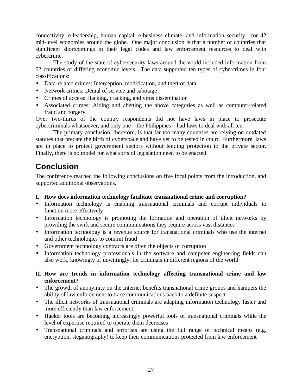connectivity, e-leadership, human capital, e-business climate, and information security—for 42 mid-level economies around the globe. One major conclusion is that a number of countries that significant shortcomings in their legal codes and law enforcement resources to deal with cybercrime.

The study of the state of cybersecurity laws around the world included information from 52 countries of differing economic levels. The data supported ten types of cybercrimes in four classifications:

- Data-related crimes: Interception, modification, and theft of data
- Network crimes: Denial of service and sabotage
- Crimes of access: Hacking, cracking, and virus dissemination
- Associated crimes: Aiding and abetting the above categories as well as computer-related fraud and forgery.

Over two-thirds of the country respondents did not have laws in place to prosecute cybercriminals whatsoever, and only one—the Philippines—had laws to deal with all ten.

The primary conclusion, therefore, is that far too many countries are relying on outdated statutes that predate the birth of cyberspace and have yet to be tested in court. Furthermore, laws are in place to protect government sectors without lending protection to the private sector. Finally, there is no model for what sorts of legislation need to be enacted.

# **Conclusion**

The conference reached the following conclusions on five focal points from the introduction, and supported additional observations.

- **I. How does information technology facilitate transnational crime and corruption?**
- Information technology is enabling transnational criminals and corrupt individuals to function more effectively
- Information technology is promoting the formation and operation of illicit networks by providing the swift and secure communications they require across vast distances
- Information technology is a revenue source for transnational criminals who use the internet and other technologies to commit fraud
- Government technology contracts are often the objects of corruption
- Information technology professionals in the software and computer engineering fields can also work, knowingly or unwittingly, for criminals in different regions of the world

### **II. How are trends in information technology affecting transnational crime and law enforcement?**

- The growth of anonymity on the Internet benefits transnational crime groups and hampers the ability of law enforcement to trace communications back to a definite suspect
- The illicit networks of transnational criminals are adapting information technology faster and more efficiently than law enforcement.
- Hacker tools are becoming increasingly powerful tools of transnational criminals while the level of expertise required to operate them decreases
- Transnational criminals and terrorists are using the full range of technical means (e.g. encryption, steganography) to keep their communications protected from law enforcement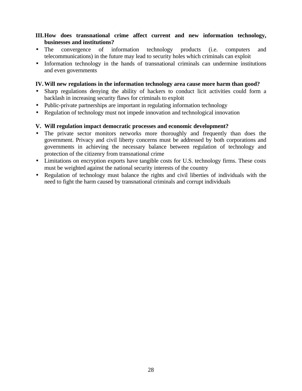### **III.How does transnational crime affect current and new information technology, businesses and institutions?**

- The convergence of information technology products (i.e. computers and telecommunications) in the future may lead to security holes which criminals can exploit
- Information technology in the hands of transnational criminals can undermine institutions and even governments

#### **IV.Will new regulations in the information technology area cause more harm than good?**

- Sharp regulations denying the ability of hackers to conduct licit activities could form a backlash in increasing security flaws for criminals to exploit
- Public-private partnerships are important in regulating information technology
- Regulation of technology must not impede innovation and technological innovation

#### **V. Will regulation impact democratic processes and economic development?**

- The private sector monitors networks more thoroughly and frequently than does the government. Privacy and civil liberty concerns must be addressed by both corporations and governments in achieving the necessary balance between regulation of technology and protection of the citizenry from transnational crime
- Limitations on encryption exports have tangible costs for U.S. technology firms. These costs must be weighted against the national security interests of the country
- Regulation of technology must balance the rights and civil liberties of individuals with the need to fight the harm caused by transnational criminals and corrupt individuals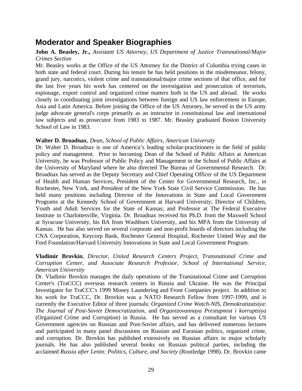# **Moderator and Speaker Biographies**

#### **John A. Beasley, Jr.,** *Assistant US Attorney, US Department of Justice Transnational/Major Crimes Section*

Mr. Beasley works at the Office of the US Attorney for the District of Columbia trying cases in both state and federal court. During his tenure he has held positions in the misdemeanor, felony, grand jury, narcotics, violent crime and transnational/major crime sections of that office, and for the last five years his work has centered on the investigation and prosecution of terrorism, espionage, export control and organized crime matters both in the US and abroad. He works closely in coordinating joint investigations between foreign and US law enforcement in Europe, Asia and Latin America. Before joining the Office of the US Attorney, he served in the US army judge advocate general's corps primarily as an instructor in constitutional law and international law subjects and as prosecutor from 1983 to 1987. Mr. Beasley graduated Boston University School of Law in 1983.

#### **Walter D. Broadnax**, *Dean, School of Public Affairs, American University*

Dr. Walter D. Broadnax is one of America's leading scholar-practitioners in the field of public policy and management. Prior to becoming Dean of the School of Public Affairs at American University, he was Professor of Public Policy and Management in the School of Public Affairs at the University of Maryland where he also directed The Bureau of Governmental Research. Dr. Broadnax has served as the Deputy Secretary and Chief Operating Officer of the US Department of Health and Human Services, President of the Center for Governmental Research, Inc., in Rochester, New York, and President of the New York State Civil Service Commission. He has held many positions including Director of the Innovations in State and Local Government Programs at the Kennedy School of Government at Harvard University; Director of Children, Youth and Adult Services for the State of Kansas; and Professor at The Federal Executive Institute in Charlottesville, Virginia. Dr. Broadnax received his Ph.D. from the Maxwell School at Syracuse University, his BA from Washburn University, and his MPA from the University of Kansas. He has also served on several corporate and non-profit boards of directors including the CNA Corporation, Keycorp Bank, Rochester General Hospital, Rochester United Way and the Ford Foundation/Harvard University Innovations in State and Local Government Program.

#### **Vladimir Brovkin**, *Director, United Research Centers Project, Transnational Crime and Corruption Center, and Associate Research Professor, School of International Service, American University*

Dr. Vladimir Brovkin manages the daily operations of the Transnational Crime and Corruption Center's (TraCCC) overseas research centers in Russia and Ukraine. He was the Principal Investigator for TraCCC's 1999 Money Laundering and Front Companies project. In addition to his work for TraCCC, Dr. Brovkin was a NATO Research Fellow from 1997-1999, and is currently the Executive Editor of three journals: *Organized Crime Watch-NIS, Demokratizatsiya*: *The Journal of Post-Soviet Democratization,* and *Organizovannaya Prestupnost i korruptsiya* (Organized Crime and Corruption) in Russia. He has served as a consultant for various US Government agencies on Russian and Post-Soviet affairs, and has delivered numerous lectures and participated in many panel discussions on Russian and Eurasian politics, organized crime, and corruption. Dr. Brovkin has published extensively on Russian affairs in major scholarly journals. He has also published several books on Russian political parties, including the acclaimed *Russia after Lenin: Politics, Culture, and Society* (Routledge 1998). Dr. Brovkin came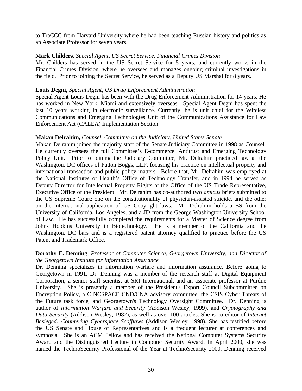to TraCCC from Harvard University where he had been teaching Russian history and politics as an Associate Professor for seven years.

#### **Mark Childers,** *Special Agent, US Secret Service, Financial Crimes Division*

Mr. Childers has served in the US Secret Service for 5 years, and currently works in the Financial Crimes Division, where he oversees and manages ongoing criminal investigations in the field. Prior to joining the Secret Service, he served as a Deputy US Marshal for 8 years.

#### **Louis Degni**, *Special Agent, US Drug Enforcement Administration*

Special Agent Louis Degni has been with the Drug Enforcement Administration for 14 years. He has worked in New York, Miami and extensively overseas. Special Agent Degni has spent the last 10 years working in electronic surveillance. Currently, he is unit chief for the Wireless Communications and Emerging Technologies Unit of the Communications Assistance for Law Enforcement Act (CALEA) Implementation Section.

#### **Makan Delrahim,** *Counsel, Committee on the Judiciary, United States Senate*

Makan Delrahim joined the majority staff of the Senate Judiciary Committee in 1998 as Counsel. He currently oversees the full Committee's E-commerce, Antitrust and Emerging Technology Policy Unit. Prior to joining the Judiciary Committee, Mr. Delrahim practiced law at the Washington, DC offices of Patton Boggs, LLP, focusing his practice on intellectual property and international transaction and public policy matters. Before that, Mr. Delrahim was employed at the National Institutes of Health's Office of Technology Transfer, and in 1994 he served as Deputy Director for Intellectual Property Rights at the Office of the US Trade Representative, Executive Office of the President. Mr. Delrahim has co-authored two *amicus* briefs submitted to the US Supreme Court: one on the constitutionality of physician-assisted suicide, and the other on the international application of US Copyright laws. Mr. Delrahim holds a BS from the University of California, Los Angeles, and a JD from the George Washington University School of Law. He has successfully completed the requirements for a Master of Science degree from Johns Hopkins University in Biotechnology. He is a member of the California and the Washington, DC bars and is a registered patent attorney qualified to practice before the US Patent and Trademark Office.

#### **Dorothy E. Denning**, *Professor of Computer Science, Georgetown University, and Director of the Georgetown Institute for Information Assurance*

Dr. Denning specializes in information warfare and information assurance. Before going to Georgetown in 1991, Dr. Denning was a member of the research staff at Digital Equipment Corporation, a senior staff scientist at SRI International, and an associate professor at Purdue University. She is presently a member of the President's Export Council Subcommittee on Encryption Policy, a CINCSPACE CND/CNA advisory committee, the CSIS Cyber Threats of the Future task force, and Georgetown's Technology Oversight Committee. Dr. Denning is author of *Information Warfare and Security* (Addison Wesley, 1999), and *Cryptography and Data Security* (Addison Wesley, 1982), as well as over 100 articles. She is co-editor of *Internet Besieged: Countering Cyberspace Scofflaws* (Addison Wesley, 1998). She has testified before the US Senate and House of Representatives and is a frequent lecturer at conferences and symposia. She is an ACM Fellow and has received the National Computer Systems Security Award and the Distinguished Lecture in Computer Security Award. In April 2000, she was named the TechnoSecurity Professional of the Year at TechnoSecurity 2000. Denning received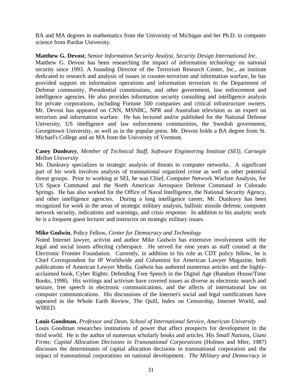BA and MA degrees in mathematics from the University of Michigan and her Ph.D. in computer science from Purdue University.

#### **Matthew G. Devost**, *Senior Information Security Analyst, Security Design International Inc.*

Matthew G. Devost has been researching the impact of information technology on national security since 1993. A founding Director of the Terrorism Research Center, Inc., an institute dedicated to research and analysis of issues in counter-terrorism and information warfare, he has provided support on information operations and information terrorism to the Department of Defense community, Presidential commissions, and other government, law enforcement and intelligence agencies. He also provides information security consulting and intelligence analysis for private corporations, including Fortune 500 companies and critical infrastructure owners. Mr. Devost has appeared on CNN, MSNBC, NPR and Australian television as an expert on terrorism and information warfare. He has lectured and/or published for the National Defense University, US intelligence and law enforcement communities, the Swedish government, Georgetown University, as well as in the popular press. Mr. Devost holds a BA degree from St. Michael's College and an MA from the University of Vermont.

#### **Casey Dunleavy**, *Member of Technical Staff, Software Engineering Institute (SEI), Carnegie Mellon University*

Mr. Dunleavy specializes in strategic analysis of threats to computer networks. A significant part of his work involves analysis of transnational organized crime as well as other potential threat groups. Prior to working at SEI, he was Chief, Computer Network Warfare Analysis, for US Space Command and the North American Aerospace Defense Command in Colorado Springs. He has also worked for the Office of Naval Intelligence, the National Security Agency, and other intelligence agencies. During a long intelligence career, Mr. Dunleavy has been recognized for work in the areas of strategic military analysis, ballistic missile defense, computer network security, indications and warnings, and crisis response. In addition to his analytic work he is a frequent guest lecturer and instructor on strategic military issues.

#### **Mike Godwin**, Policy Fellow, *Center for Democracy and Technology*

Noted Internet lawyer, activist and author Mike Godwin has extensive involvement with the legal and social issues affecting cyberspace. He served for nine years as staff counsel at the Electronic Frontier Foundation. Currently, in addition to his role as CDT policy fellow, he is Chief Correspondent for IP Worldwide and Columnist for American Lawyer Magazine, both publications of American Lawyer Media. Godwin has authored numerous articles and the highlyacclaimed book, Cyber Rights: Defending Free Speech in the Digital Age (Random House/Time Books, 1998). His writings and activism have covered issues as diverse as electronic search and seizure, free speech in electronic communications, and the affects of international law on computer communications. His discussions of the Internet's social and legal ramifications have appeared in the Whole Earth Review, The Quill, Index on Censorship, Internet World, and WIRED.

#### **Louis Goodman**, *Professor and Dean, School of International Service, American University*

Louis Goodman researches institutions of power that affect prospects for development in the third world. He is the author of numerous scholarly books and articles. His *Small Nations, Giant Firms: Capital Allocation Decisions in Transnational Corporations* (Holmes and Mier, 1987) discusses the determinants of capital allocation decisions in transnational corporation and the impact of transnational corporations on national development. *The Military and Democracy in*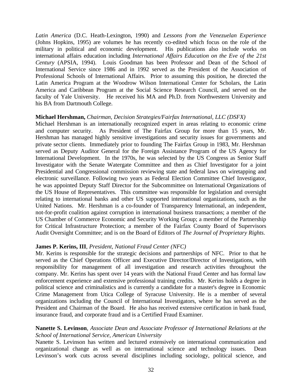*Latin America* (D.C. Heath-Lexington, 1990) and *Lessons from the Venezuelan Experience* (Johns Hopkins, 1995) are volumes he has recently co-edited which focus on the role of the military in political and economic development. His publications also include works on international affairs education including *International Affairs Education on the Eve of the 21st Century* (APSIA, 1994). Louis Goodman has been Professor and Dean of the School of International Service since 1986 and in 1992 served as the President of the Association of Professional Schools of International Affairs. Prior to assuming this position, he directed the Latin America Program at the Woodrow Wilson International Center for Scholars, the Latin America and Caribbean Program at the Social Science Research Council, and served on the faculty of Yale University. He received his MA and Ph.D. from Northwestern University and his BA from Dartmouth College.

#### **Michael Hershman,** *Chairman, Decision Strategies/Fairfax International, LLC (DSFX)*

Michael Hershman is an internationally recognized expert in areas relating to economic crime and computer security. As President of The Fairfax Group for more than 15 years, Mr. Hershman has managed highly sensitive investigations and security issues for governments and private sector clients. Immediately prior to founding The Fairfax Group in 1983, Mr. Hershman served as Deputy Auditor General for the Foreign Assistance Program of the US Agency for International Development. In the 1970s, he was selected by the US Congress as Senior Staff Investigator with the Senate Watergate Committee and then as Chief Investigator for a joint Presidential and Congressional commission reviewing state and federal laws on wiretapping and electronic surveillance. Following two years as Federal Election Committee Chief Investigator, he was appointed Deputy Staff Director for the Subcommittee on International Organizations of the US House of Representatives. This committee was responsible for legislation and oversight relating to international banks and other US supported international organizations, such as the United Nations. Mr. Hershman is a co-founder of Transparency International, an independent, not-for-profit coalition against corruption in international business transactions; a member of the US Chamber of Commerce Economic and Security Working Group; a member of the Partnership for Critical Infrastructure Protection; a member of the Fairfax County Board of Supervisors Audit Oversight Committee; and is on the Board of Editors of *The Journal of Proprietary Rights*.

#### **James P. Kerins, III**, *President, National Fraud Center (NFC)*

Mr. Kerins is responsible for the strategic decisions and partnerships of NFC. Prior to that he served as the Chief Operations Officer and Executive Director/Director of Investigations, with responsibility for management of all investigation and research activities throughout the company. Mr. Kerins has spent over 14 years with the National Fraud Center and has formal law enforcement experience and extensive professional training credits. Mr. Kerins holds a degree in political science and criminalistics and is currently a candidate for a master's degree in Economic Crime Management from Utica College of Syracuse University. He is a member of several organizations including the Council of International Investigators, where he has served as the President and Chairman of the Board. He also has received extensive certification in bank fraud, insurance fraud, and corporate fraud and is a Certified Fraud Examiner.

#### **Nanette S. Levinson**, *Associate Dean and Associate Professor of International Relations at the School of International Service, American University*

Nanette S. Levinson has written and lectured extensively on international communication and organizational change as well as on international science and technology issues. Dean Levinson's work cuts across several disciplines including sociology, political science, and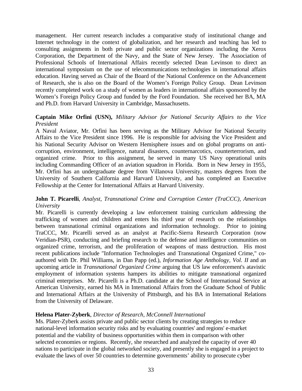management. Her current research includes a comparative study of institutional change and Internet technology in the context of globalization, and her research and teaching has led to consulting assignments in both private and public sector organizations including the Xerox Corporation, the Department of the Navy, and the State of New Jersey. The Association of Professional Schools of International Affairs recently selected Dean Levinson to direct an international symposium on the use of telecommunications technologies in international affairs education. Having served as Chair of the Board of the National Conference on the Advancement of Research, she is also on the Board of the Women's Foreign Policy Group. Dean Levinson recently completed work on a study of women as leaders in international affairs sponsored by the Women's Foreign Policy Group and funded by the Ford Foundation. She received her BA, MA and Ph.D. from Harvard University in Cambridge, Massachusetts.

#### **Captain Mike Orfini (USN),** *Military Advisor for National Security Affairs to the Vice President*

A Naval Aviator, Mr. Orfini has been serving as the Military Advisor for National Security Affairs to the Vice President since 1996. He is responsible for advising the Vice President and his National Security Advisor on Western Hemisphere issues and on global programs on anticorruption, environment, intelligence, natural disasters, counternarcotics, counterterrorism, and organized crime. Prior to this assignment, he served in many US Navy operational units including Commanding Officer of an aviation squadron in Florida. Born in New Jersey in 1955, Mr. Orfini has an undergraduate degree from Villanova University, masters degrees from the University of Southern California and Harvard University, and has completed an Executive Fellowship at the Center for International Affairs at Harvard University.

### **John T. Picarelli**, *Analyst, Transnational Crime and Corruption Center (TraCCC), American University*

Mr. Picarelli is currently developing a law enforcement training curriculum addressing the trafficking of women and children and enters his third year of research on the relationships between transnational criminal organizations and information technology. Prior to joining TraCCC, Mr. Picarelli served as an analyst at Pacific-Sierra Research Corporation (now Veridian-PSR), conducting and briefing research to the defense and intelligence communities on organized crime, terrorism, and the proliferation of weapons of mass destruction. His most recent publications include "Information Technologies and Transnational Organized Crime," coauthored with Dr. Phil Williams, in Dan Papp (ed.), *Information Age Anthology, Vol. II* and an upcoming article in *Transnational Organized Crime* arguing that US law enforcement's atavistic employment of information systems hampers its abilities to mitigate transnational organized criminal enterprises. Mr. Picarelli is a Ph.D. candidate at the School of International Service at American University, earned his MA in International Affairs from the Graduate School of Public and International Affairs at the University of Pittsburgh, and his BA in International Relations from the University of Delaware.

### **Helena Plater-Zyberk**, *Director of Research, McConnell International*

Ms. Plater-Zyberk assists private and public sector clients by creating strategies to reduce national-level information security risks and by evaluating countries' and regions' e-market potential and the viability of business opportunities within them in comparison with other selected economies or regions. Recently, she researched and analyzed the capacity of over 40 nations to participate in the global networked society, and presently she is engaged in a project to evaluate the laws of over 50 countries to determine governments' ability to prosecute cyber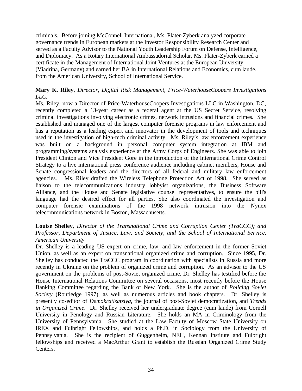criminals. Before joining McConnell International, Ms. Plater-Zyberk analyzed corporate governance trends in European markets at the Investor Responsibility Research Center and served as a Faculty Advisor to the National Youth Leadership Forum on Defense, Intelligence, and Diplomacy. As a Rotary International Ambassadorial Scholar, Ms. Plater-Zyberk earned a certificate in the Management of International Joint Ventures at the European University (Viadrina, Germany) and earned her BA in International Relations and Economics, cum laude, from the American University, School of International Service.

### **Mary K. Riley**, *Director, Digital Risk Management, Price-WaterhouseCoopers Investigations LLC.*

Ms. Riley, now a Director of Price-WaterhouseCoopers Investigations LLC in Washington, DC, recently completed a 13-year career as a federal agent at the US Secret Service, resolving criminal investigations involving electronic crimes, network intrusions and financial crimes. She established and managed one of the largest computer forensic programs in law enforcement and has a reputation as a leading expert and innovator in the development of tools and techniques used in the investigation of high-tech criminal activity. Ms. Riley's law enforcement experience was built on a background in personal computer system integration at IBM and programming/systems analysis experience at the Army Corps of Engineers. She was able to join President Clinton and Vice President Gore in the introduction of the International Crime Control Strategy to a live international press conference audience including cabinet members, House and Senate congressional leaders and the directors of all federal and military law enforcement agencies. Ms. Riley drafted the Wireless Telephone Protection Act of 1998. She served as liaison to the telecommunications industry lobbyist organizations, the Business Software Alliance, and the House and Senate legislative counsel representatives, to ensure the bill's language had the desired effect for all parties. She also coordinated the investigation and computer forensic examinations of the 1998 network intrusion into the Nynex telecommunications network in Boston, Massachusetts.

### **Louise Shelley**, *Director of the Transnational Crime and Corruption Center (TraCCC); and Professor, Department of Justice, Law, and Society, and the School of International Service, American University*

Dr. Shelley is a leading US expert on crime, law, and law enforcement in the former Soviet Union, as well as an expert on transnational organized crime and corruption. Since 1995, Dr. Shelley has conducted the TraCCC program in coordination with specialists in Russia and more recently in Ukraine on the problem of organized crime and corruption. As an advisor to the US government on the problems of post-Soviet organized crime, Dr. Shelley has testified before the House International Relations Committee on several occasions, most recently before the House Banking Committee regarding the Bank of New York. She is the author of *Policing Soviet Society* (Routledge 1997), as well as numerous articles and book chapters. Dr. Shelley is presently co-editor of *Demokratizatsiya*, the journal of post-Soviet democratization, and *Trends in Organized Crime*. Dr. Shelley received her undergraduate degree (cum laude) from Cornell University in Penology and Russian Literature. She holds an MA in Criminology from the University of Pennsylvania. She studied at the Law Faculty of Moscow State University on IREX and Fulbright Fellowships, and holds a Ph.D. in Sociology from the University of Pennsylvania. She is the recipient of Guggenheim, NEH, Kennan Institute and Fulbright fellowships and received a MacArthur Grant to establish the Russian Organized Crime Study Centers.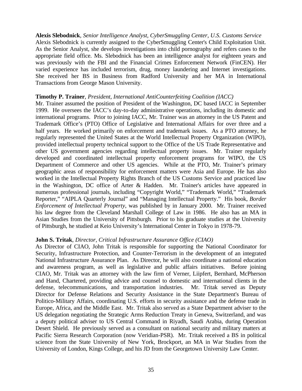**Alexis Slebodnick**, *Senior Intelligence Analyst, CyberSmuggling Center, U.S. Customs Service* Alexis Slebodnick is currently assigned to the CyberSmuggling Center's Child Exploitation Unit. As the Senior Analyst, she develops investigations into child pornography and refers cases to the appropriate field office. Ms. Slebodnick has been an intelligence analyst for eighteen years and was previously with the FBI and the Financial Crimes Enforcement Network (FinCEN). Her varied experience has included terrorism, drug, money laundering and Internet investigations. She received her BS in Business from Radford University and her MA in International Transactions from George Mason University.

#### **Timothy P. Trainer**, *President, International AntiCounterfeiting Coalition (IACC)*

Mr. Trainer assumed the position of President of the Washington, DC based IACC in September 1999. He oversees the IACC's day-to-day administrative operations, including its domestic and international programs. Prior to joining IACC, Mr. Trainer was an attorney in the US Patent and Trademark Office's (PTO) Office of Legislative and International Affairs for over three and a half years. He worked primarily on enforcement and trademark issues. As a PTO attorney, he regularly represented the United States at the World Intellectual Property Organization (WIPO), provided intellectual property technical support to the Office of the US Trade Representative and other US government agencies regarding intellectual property issues. Mr. Trainer regularly developed and coordinated intellectual property enforcement programs for WIPO, the US Department of Commerce and other US agencies. While at the PTO, Mr. Trainer's primary geographic areas of responsibility for enforcement matters were Asia and Europe. He has also worked in the Intellectual Property Rights Branch of the US Customs Service and practiced law in the Washington, DC office of Arter & Hadden. Mr. Trainer's articles have appeared in numerous professional journals, including "Copyright World," "Trademark World," "Trademark Reporter," "AIPLA Quarterly Journal" and "Managing Intellectual Property." His book, *Border Enforcement of Intellectual Property*, was published by in January 2000. Mr. Trainer received his law degree from the Cleveland Marshall College of Law in 1986. He also has an MA in Asian Studies from the University of Pittsburgh. Prior to his graduate studies at the University of Pittsburgh, he studied at Keio University's International Center in Tokyo in 1978-79.

#### **John S. Tritak**, *Director, Critical Infrastructure Assurance Office (CIAO)*

As Director of CIAO, John Tritak is responsible for supporting the National Coordinator for Security, Infrastructure Protection, and Counter-Terrorism in the development of an integrated National Infrastructure Assurance Plan. As Director, he will also coordinate a national education and awareness program, as well as legislative and public affairs initiatives. Before joining CIAO, Mr. Tritak was an attorney with the law firm of Verner, Liipfert, Bernhard, McPherson and Hand, Chartered, providing advice and counsel to domestic and international clients in the defense, telecommunications, and transportation industries. Mr. Tritak served as Deputy Director for Defense Relations and Security Assistance in the State Department's Bureau of Politico-Military Affairs, coordinating U.S. efforts in security assistance and the defense trade in Europe, Africa, and the Middle East. Mr. Tritak also served as a State Department adviser to the US delegation negotiating the Strategic Arms Reduction Treaty in Geneva, Switzerland, and was a deputy political adviser to US Central Command in Riyadh, Saudi Arabia, during Operation Desert Shield. He previously served as a consultant on national security and military matters at Pacific Sierra Research Corporation (now Veridian-PSR). Mr. Tritak received a BS in political science from the State University of New York, Brockport, an MA in War Studies from the University of London, Kings College, and his JD from the Georgetown University Law Center.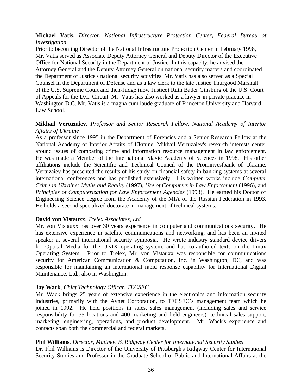### **Michael Vatis**, *Director, National Infrastructure Protection Center, Federal Bureau of Investigation*

Prior to becoming Director of the National Infrastructure Protection Center in February 1998, Mr. Vatis served as Associate Deputy Attorney General and Deputy Director of the Executive Office for National Security in the Department of Justice. In this capacity, he advised the Attorney General and the Deputy Attorney General on national security matters and coordinated the Department of Justice's national security activities. Mr. Vatis has also served as a Special Counsel in the Department of Defense and as a law clerk to the late Justice Thurgood Marshall of the U.S. Supreme Court and then-Judge (now Justice) Ruth Bader Ginsburg of the U.S. Court of Appeals for the D.C. Circuit. Mr. Vatis has also worked as a lawyer in private practice in Washington D.C. Mr. Vatis is a magna cum laude graduate of Princeton University and Harvard Law School.

#### **Mikhail Vertuzaiev**, *Professor and Senior Research Fellow, National Academy of Interior Affairs of Ukraine*

As a professor since 1995 in the Department of Forensics and a Senior Research Fellow at the National Academy of Interior Affairs of Ukraine, Mikhail Vertuzaiev's research interests center around issues of combating crime and information resource management in law enforcement. He was made a Member of the International Slavic Academy of Sciences in 1998. His other affiliations include the Scientific and Technical Council of the Prominvestbank of Ukraine. Vertuzaiev has presented the results of his study on financial safety in banking systems at several international conferences and has published extensively. His written works include *Computer Crime in Ukraine: Myths and Reality* (1997)*, Use of Computers in Law Enforcement* (1996)*,* and *Principles of Computerization for Law Enforcement Agencies* (1993). He earned his Doctor of Engineering Science degree from the Academy of the MIA of the Russian Federation in 1993. He holds a second specialized doctorate in management of technical systems.

#### **David von Vistauxx**, *Trelex Associates, Ltd.*

Mr. von Vistauxx has over 30 years experience in computer and communications security. He has extensive experience in satellite communications and networking, and has been an invited speaker at several international security symposia. He wrote industry standard device drivers for Optical Media for the UNIX operating system, and has co-authored texts on the Linux Operating System. Prior to Trelex, Mr. von Vistauxx was responsible for communications security for American Communication & Computation, Inc. in Washington, DC, and was responsible for maintaining an international rapid response capability for International Digital Maintenance, Ltd., also in Washington.

#### **Jay Wack**, *Chief Technology Officer, TECSEC*

Mr. Wack brings 25 years of extensive experience in the electronics and information security industries, primarily with the Avnet Corporation, to TECSEC's management team which he joined in 1992. He held positions in sales, sales management (including sales and service responsibility for 35 locations and 400 marketing and field engineers), technical sales support, marketing, engineering, operations, and product development. Mr. Wack's experience and contacts span both the commercial and federal markets.

#### **Phil Williams**, *Director, Matthew B. Ridgway Center for International Security Studies*

Dr. Phil Williams is Director of the University of Pittsburgh's Ridgway Center for International Security Studies and Professor in the Graduate School of Public and International Affairs at the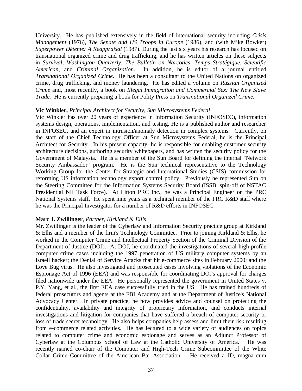University. He has published extensively in the field of international security including *Crisis Management* (1976), *The Senate and US Troops in Europe* (1986), and (with Mike Bowker) *Superpower Détente: A Reappraisal* (1987). During the last six years his research has focused on transnational organized crime and drug trafficking, and he has written articles on these subjects in *Survival, Washington Quarterly, The Bulletin on Narcotics, Temps Stratégique, Scientific American,* and *Criminal Organization*. In addition, he is editor of a journal entitled *Transnational Organized Crime*. He has been a consultant to the United Nations on organized crime, drug trafficking, and money laundering. He has edited a volume on *Russian Organized Crime* and, most recently, a book on *Illegal Immigration and Commercial Sex: The New Slave Trade.* He is currently preparing a book for Polity Press on *Transnational Organized Crime.*

#### **Vic Winkler,** *Principal Architect for Security, Sun Microsystems Federal*

Vic Winkler has over 20 years of experience in Information Security (INFOSEC), information systems design, operations, implementation, and testing. He is a published author and researcher in INFOSEC, and an expert in intrusion/anomaly detection in complex systems. Currently, on the staff of the Chief Technology Officer at Sun Microsystems Federal, he is the Principal Architect for Security. In his present capacity, he is responsible for enabling customer security architecture decisions, authoring security whitepapers, and has written the security policy for the Government of Malaysia. He is a member of the Sun Board for defining the internal "Network Security Ambassador" program. He is the Sun technical representative to the Technology Working Group for the Center for Strategic and International Studies (CSIS) commission for reforming US information technology export control policy. Previously he represented Sun on the Steering Committee for the Information Systems Security Board (ISSB, spin-off of NSTAC Presidential NII Task Force). At Litton PRC Inc., he was a Principal Engineer on the PRC National Systems staff. He spent nine years as a technical member of the PRC R&D staff where he was the Principal Investigator for a number of R&D efforts in INFOSEC.

#### **Marc J. Zwillinger**, *Partner, Kirkland & Ellis*

Mr. Zwillinger is the leader of the Cyberlaw and Information Security practice group at Kirkland & Ellis and a member of the firm's Technology Committee. Prior to joining Kirkland & Ellis, he worked in the Computer Crime and Intellectual Property Section of the Criminal Division of the Department of Justice (DOJ). At DOJ, he coordinated the investigations of several high-profile computer crime cases including the 1997 penetration of US military computer systems by an Israeli hacker; the Denial of Service Attacks that hit e-commerce sites in February 2000; and the Love Bug virus. He also investigated and prosecuted cases involving violations of the Economic Espionage Act of 1996 (EEA) and was responsible for coordinating DOJ's approval for charges filed nationwide under the EEA. He personally represented the government in United States v. P.Y. Yang, et al., the first EEA case successfully tried in the US. He has trained hundreds of federal prosecutors and agents at the FBI Academy and at the Department of Justice's National Advocacy Center. In private practice, he now provides advice and counsel on protecting the confidentiality, availability and integrity of proprietary information, and conducts internal investigations and litigation for companies that have suffered a breach of computer security or loss of trade secret technology. He also helps companies help assess and limit their risk resulting from e-commerce related activities. He has lectured to a wide variety of audiences on topics related to computer crime and economic espionage and serves as an Adjunct Professor of Cyberlaw at the Columbus School of Law at the Catholic University of America. He was recently named co-chair of the Computer and High-Tech Crime Subcommittee of the White Collar Crime Committee of the American Bar Association. He received a JD, magna cum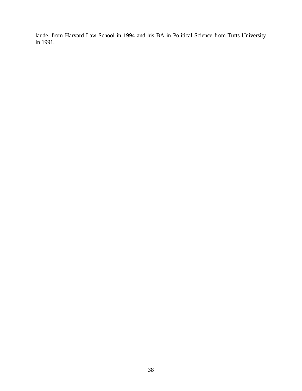laude, from Harvard Law School in 1994 and his BA in Political Science from Tufts University in 1991.